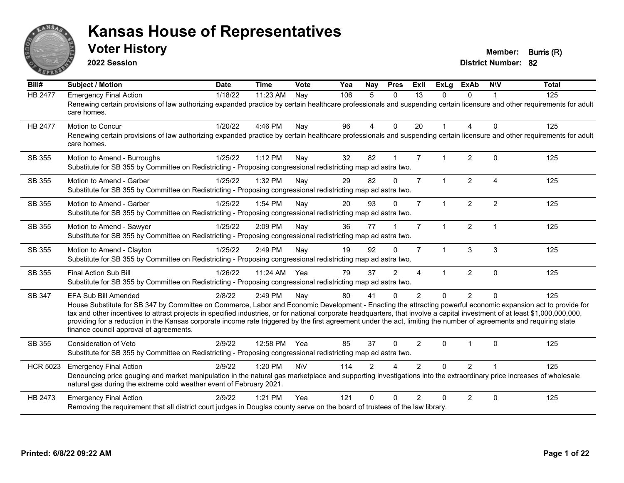

**2022 Session**

**Voter History Member: Burris (R)** 

| Bill#           | Subject / Motion                                                                                                                                                                                                                                                                                                                                                                                                                                                                                                                                                                                   | <b>Date</b> | <b>Time</b>  | Vote       | Yea | <b>Nay</b>    | <b>Pres</b>            | <b>ExII</b>    | <b>ExLg</b>  | <b>ExAb</b>    | <b>NIV</b>     | <b>Total</b> |
|-----------------|----------------------------------------------------------------------------------------------------------------------------------------------------------------------------------------------------------------------------------------------------------------------------------------------------------------------------------------------------------------------------------------------------------------------------------------------------------------------------------------------------------------------------------------------------------------------------------------------------|-------------|--------------|------------|-----|---------------|------------------------|----------------|--------------|----------------|----------------|--------------|
| <b>HB 2477</b>  | <b>Emergency Final Action</b><br>Renewing certain provisions of law authorizing expanded practice by certain healthcare professionals and suspending certain licensure and other requirements for adult<br>care homes.                                                                                                                                                                                                                                                                                                                                                                             | 1/18/22     | 11:23 AM     | Nay        | 106 | 5             | $\mathbf{0}$           | 13             | 0            | $\Omega$       |                | 125          |
| <b>HB 2477</b>  | Motion to Concur<br>Renewing certain provisions of law authorizing expanded practice by certain healthcare professionals and suspending certain licensure and other requirements for adult<br>care homes.                                                                                                                                                                                                                                                                                                                                                                                          | 1/20/22     | 4:46 PM      | Nay        | 96  | 4             | $\Omega$               | 20             | $\mathbf{1}$ | 4              | $\Omega$       | 125          |
| SB 355          | Motion to Amend - Burroughs<br>Substitute for SB 355 by Committee on Redistricting - Proposing congressional redistricting map ad astra two.                                                                                                                                                                                                                                                                                                                                                                                                                                                       | 1/25/22     | 1:12 PM      | Nay        | 32  | 82            |                        | $\overline{7}$ | 1            | $\overline{2}$ | $\mathbf{0}$   | 125          |
| SB 355          | Motion to Amend - Garber<br>Substitute for SB 355 by Committee on Redistricting - Proposing congressional redistricting map ad astra two.                                                                                                                                                                                                                                                                                                                                                                                                                                                          | 1/25/22     | 1:32 PM      | Nay        | 29  | 82            | $\Omega$               | $\overline{7}$ | $\mathbf{1}$ | $\overline{2}$ | $\overline{4}$ | 125          |
| SB 355          | Motion to Amend - Garber<br>Substitute for SB 355 by Committee on Redistricting - Proposing congressional redistricting map ad astra two.                                                                                                                                                                                                                                                                                                                                                                                                                                                          | 1/25/22     | 1:54 PM      | Nay        | 20  | 93            | $\Omega$               | $\overline{7}$ | $\mathbf{1}$ | $\overline{2}$ | $\overline{2}$ | 125          |
| SB 355          | Motion to Amend - Sawyer<br>Substitute for SB 355 by Committee on Redistricting - Proposing congressional redistricting map ad astra two.                                                                                                                                                                                                                                                                                                                                                                                                                                                          | 1/25/22     | 2:09 PM      | Nay        | 36  | 77            |                        | $\overline{7}$ | $\mathbf{1}$ | $\overline{2}$ | $\overline{1}$ | 125          |
| SB 355          | Motion to Amend - Clayton<br>Substitute for SB 355 by Committee on Redistricting - Proposing congressional redistricting map ad astra two.                                                                                                                                                                                                                                                                                                                                                                                                                                                         | 1/25/22     | 2:49 PM      | Nay        | 19  | 92            | $\Omega$               | $\overline{7}$ | $\mathbf{1}$ | 3              | 3              | 125          |
| SB 355          | Final Action Sub Bill<br>Substitute for SB 355 by Committee on Redistricting - Proposing congressional redistricting map ad astra two.                                                                                                                                                                                                                                                                                                                                                                                                                                                             | 1/26/22     | 11:24 AM Yea |            | 79  | 37            | 2                      | 4              | 1            | $\overline{2}$ | $\Omega$       | 125          |
| SB 347          | <b>EFA Sub Bill Amended</b><br>House Substitute for SB 347 by Committee on Commerce, Labor and Economic Development - Enacting the attracting powerful economic expansion act to provide for<br>tax and other incentives to attract projects in specified industries, or for national corporate headquarters, that involve a capital investment of at least \$1,000,000,000,000,<br>providing for a reduction in the Kansas corporate income rate triggered by the first agreement under the act, limiting the number of agreements and requiring state<br>finance council approval of agreements. | 2/8/22      | 2:49 PM      | Nay        | 80  | 41            | $\Omega$               | $\overline{2}$ | $\Omega$     | $\overline{2}$ | $\Omega$       | 125          |
| SB 355          | <b>Consideration of Veto</b><br>Substitute for SB 355 by Committee on Redistricting - Proposing congressional redistricting map ad astra two.                                                                                                                                                                                                                                                                                                                                                                                                                                                      | 2/9/22      | 12:58 PM Yea |            | 85  | 37            | $\Omega$               | $\overline{2}$ | $\Omega$     | 1              | $\Omega$       | 125          |
| <b>HCR 5023</b> | <b>Emergency Final Action</b><br>Denouncing price gouging and market manipulation in the natural gas marketplace and supporting investigations into the extraordinary price increases of wholesale<br>natural gas during the extreme cold weather event of February 2021.                                                                                                                                                                                                                                                                                                                          | 2/9/22      | 1:20 PM      | <b>N\V</b> | 114 | $\mathcal{P}$ | $\boldsymbol{\Lambda}$ | $\mathcal{P}$  | $\Omega$     | $\overline{2}$ |                | 125          |
| HB 2473         | <b>Emergency Final Action</b><br>Removing the requirement that all district court judges in Douglas county serve on the board of trustees of the law library.                                                                                                                                                                                                                                                                                                                                                                                                                                      | 2/9/22      | 1:21 PM      | Yea        | 121 | U             | $\Omega$               | $\mathcal{P}$  | $\Omega$     | $\overline{2}$ | $\Omega$       | 125          |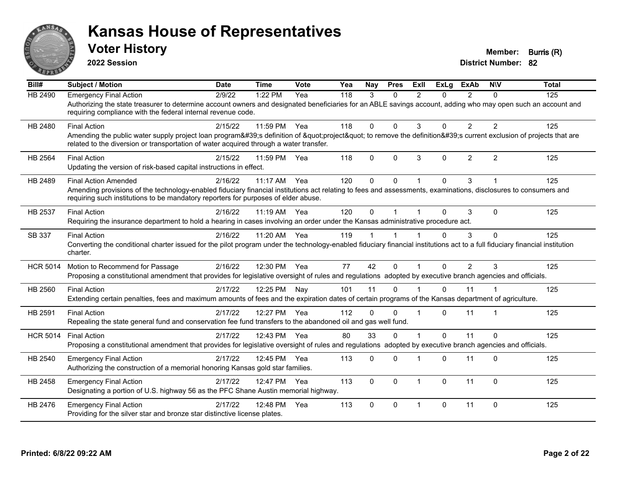

**2022 Session**

**Voter History Member: Burris (R)** 

| HB 2490<br><b>Emergency Final Action</b><br>1:22 PM<br>2/9/22<br>Yea<br>118<br>3<br>2<br>$\overline{2}$<br>125<br>$\Omega$<br>0<br>$\Omega$<br>Authorizing the state treasurer to determine account owners and designated beneficiaries for an ABLE savings account, adding who may open such an account and<br>requiring compliance with the federal internal revenue code.<br><b>Final Action</b><br>11:59 PM Yea<br>118<br>$\Omega$<br>$\Omega$<br>3<br>$\overline{2}$<br>2<br>125<br>HB 2480<br>2/15/22<br>0<br>Amending the public water supply project loan program's definition of "project" to remove the definition's current exclusion of projects that are<br>related to the diversion or transportation of water acquired through a water transfer.<br>3<br>$\overline{2}$<br>2<br><b>Final Action</b><br>$\Omega$<br>$\mathbf{0}$<br>$\Omega$<br>125<br><b>HB 2564</b><br>11:59 PM<br>118<br>2/15/22<br>Yea<br>Updating the version of risk-based capital instructions in effect.<br>$\Omega$<br>3<br>11:17 AM Yea<br>120<br>$\Omega$<br>$\Omega$<br>125<br>HB 2489<br><b>Final Action Amended</b><br>2/16/22<br>Amending provisions of the technology-enabled fiduciary financial institutions act relating to fees and assessments, examinations, disclosures to consumers and<br>requiring such institutions to be mandatory reporters for purposes of elder abuse.<br>3<br>125<br>HB 2537<br><b>Final Action</b><br>2/16/22<br>$11:19$ AM<br>120<br>$\Omega$<br>$\Omega$<br>$\Omega$<br>Yea<br>Requiring the insurance department to hold a hearing in cases involving an order under the Kansas administrative procedure act.<br>2/16/22<br>$\mathbf{0}$<br><b>Final Action</b><br>11:20 AM Yea<br>119<br>0<br>3<br>125<br>SB 337<br>Converting the conditional charter issued for the pilot program under the technology-enabled fiduciary financial institutions act to a full fiduciary financial institution<br>charter.<br>42<br>$\overline{2}$<br>2/16/22<br>12:30 PM Yea<br>77<br>$\Omega$<br>$\Omega$<br>3<br>125<br><b>HCR 5014</b><br>Motion to Recommend for Passage<br>-1<br>Proposing a constitutional amendment that provides for legislative oversight of rules and regulations adopted by executive branch agencies and officials.<br>11<br>125<br>2/17/22<br>12:25 PM Nay<br>101<br>$\Omega$<br>$\Omega$<br>11<br>HB 2560<br><b>Final Action</b><br>Extending certain penalties, fees and maximum amounts of fees and the expiration dates of certain programs of the Kansas department of agriculture.<br><b>Final Action</b><br>12:27 PM<br>112<br>$\Omega$<br>125<br>HB 2591<br>2/17/22<br>Yea<br>$\Omega$<br>$\Omega$<br>11<br>-1<br>Repealing the state general fund and conservation fee fund transfers to the abandoned oil and gas well fund.<br>80<br>33<br>$\Omega$<br>$\Omega$<br>11<br>$\Omega$<br>125<br><b>HCR 5014</b><br><b>Final Action</b><br>2/17/22<br>12:43 PM Yea<br>Proposing a constitutional amendment that provides for legislative oversight of rules and regulations adopted by executive branch agencies and officials.<br>$\Omega$<br>$\Omega$<br>11<br>$\Omega$<br>125<br>HB 2540<br><b>Emergency Final Action</b><br>2/17/22<br>12:45 PM Yea<br>113<br>0<br>Authorizing the construction of a memorial honoring Kansas gold star families.<br>11<br>$\mathbf{0}$<br>2/17/22<br>12:47 PM<br>113<br>$\Omega$<br>$\Omega$<br>$\overline{1}$<br>$\Omega$<br>125<br>HB 2458<br><b>Emergency Final Action</b><br>Yea<br>Designating a portion of U.S. highway 56 as the PFC Shane Austin memorial highway.<br>113<br>$\Omega$<br>$\Omega$<br>$\Omega$<br>11<br>$\mathbf{0}$<br>125<br>HB 2476<br><b>Emergency Final Action</b><br>2/17/22<br>12:48 PM<br>Yea<br>-1<br>Providing for the silver star and bronze star distinctive license plates. | Bill# | <b>Subject / Motion</b> | <b>Date</b> | <b>Time</b> | <b>Vote</b> | Yea | Nay | <b>Pres</b> | ExII | <b>ExLa</b> | <b>ExAb</b> | <b>NIV</b> | <b>Total</b> |
|--------------------------------------------------------------------------------------------------------------------------------------------------------------------------------------------------------------------------------------------------------------------------------------------------------------------------------------------------------------------------------------------------------------------------------------------------------------------------------------------------------------------------------------------------------------------------------------------------------------------------------------------------------------------------------------------------------------------------------------------------------------------------------------------------------------------------------------------------------------------------------------------------------------------------------------------------------------------------------------------------------------------------------------------------------------------------------------------------------------------------------------------------------------------------------------------------------------------------------------------------------------------------------------------------------------------------------------------------------------------------------------------------------------------------------------------------------------------------------------------------------------------------------------------------------------------------------------------------------------------------------------------------------------------------------------------------------------------------------------------------------------------------------------------------------------------------------------------------------------------------------------------------------------------------------------------------------------------------------------------------------------------------------------------------------------------------------------------------------------------------------------------------------------------------------------------------------------------------------------------------------------------------------------------------------------------------------------------------------------------------------------------------------------------------------------------------------------------------------------------------------------------------------------------------------------------------------------------------------------------------------------------------------------------------------------------------------------------------------------------------------------------------------------------------------------------------------------------------------------------------------------------------------------------------------------------------------------------------------------------------------------------------------------------------------------------------------------------------------------------------------------------------------------------------------------------------------------------------------------------------------------------------------------------------------------------------------------------------------------------------------------------------------------------------------------------------------------------------------------------------------------------------------------------------------------------------------------------------------------------------------------------------------------------------------------------------------------------------------------------------------------------------------------------------------------|-------|-------------------------|-------------|-------------|-------------|-----|-----|-------------|------|-------------|-------------|------------|--------------|
|                                                                                                                                                                                                                                                                                                                                                                                                                                                                                                                                                                                                                                                                                                                                                                                                                                                                                                                                                                                                                                                                                                                                                                                                                                                                                                                                                                                                                                                                                                                                                                                                                                                                                                                                                                                                                                                                                                                                                                                                                                                                                                                                                                                                                                                                                                                                                                                                                                                                                                                                                                                                                                                                                                                                                                                                                                                                                                                                                                                                                                                                                                                                                                                                                                                                                                                                                                                                                                                                                                                                                                                                                                                                                                                                                                                                              |       |                         |             |             |             |     |     |             |      |             |             |            |              |
|                                                                                                                                                                                                                                                                                                                                                                                                                                                                                                                                                                                                                                                                                                                                                                                                                                                                                                                                                                                                                                                                                                                                                                                                                                                                                                                                                                                                                                                                                                                                                                                                                                                                                                                                                                                                                                                                                                                                                                                                                                                                                                                                                                                                                                                                                                                                                                                                                                                                                                                                                                                                                                                                                                                                                                                                                                                                                                                                                                                                                                                                                                                                                                                                                                                                                                                                                                                                                                                                                                                                                                                                                                                                                                                                                                                                              |       |                         |             |             |             |     |     |             |      |             |             |            |              |
|                                                                                                                                                                                                                                                                                                                                                                                                                                                                                                                                                                                                                                                                                                                                                                                                                                                                                                                                                                                                                                                                                                                                                                                                                                                                                                                                                                                                                                                                                                                                                                                                                                                                                                                                                                                                                                                                                                                                                                                                                                                                                                                                                                                                                                                                                                                                                                                                                                                                                                                                                                                                                                                                                                                                                                                                                                                                                                                                                                                                                                                                                                                                                                                                                                                                                                                                                                                                                                                                                                                                                                                                                                                                                                                                                                                                              |       |                         |             |             |             |     |     |             |      |             |             |            |              |
|                                                                                                                                                                                                                                                                                                                                                                                                                                                                                                                                                                                                                                                                                                                                                                                                                                                                                                                                                                                                                                                                                                                                                                                                                                                                                                                                                                                                                                                                                                                                                                                                                                                                                                                                                                                                                                                                                                                                                                                                                                                                                                                                                                                                                                                                                                                                                                                                                                                                                                                                                                                                                                                                                                                                                                                                                                                                                                                                                                                                                                                                                                                                                                                                                                                                                                                                                                                                                                                                                                                                                                                                                                                                                                                                                                                                              |       |                         |             |             |             |     |     |             |      |             |             |            |              |
|                                                                                                                                                                                                                                                                                                                                                                                                                                                                                                                                                                                                                                                                                                                                                                                                                                                                                                                                                                                                                                                                                                                                                                                                                                                                                                                                                                                                                                                                                                                                                                                                                                                                                                                                                                                                                                                                                                                                                                                                                                                                                                                                                                                                                                                                                                                                                                                                                                                                                                                                                                                                                                                                                                                                                                                                                                                                                                                                                                                                                                                                                                                                                                                                                                                                                                                                                                                                                                                                                                                                                                                                                                                                                                                                                                                                              |       |                         |             |             |             |     |     |             |      |             |             |            |              |
|                                                                                                                                                                                                                                                                                                                                                                                                                                                                                                                                                                                                                                                                                                                                                                                                                                                                                                                                                                                                                                                                                                                                                                                                                                                                                                                                                                                                                                                                                                                                                                                                                                                                                                                                                                                                                                                                                                                                                                                                                                                                                                                                                                                                                                                                                                                                                                                                                                                                                                                                                                                                                                                                                                                                                                                                                                                                                                                                                                                                                                                                                                                                                                                                                                                                                                                                                                                                                                                                                                                                                                                                                                                                                                                                                                                                              |       |                         |             |             |             |     |     |             |      |             |             |            |              |
|                                                                                                                                                                                                                                                                                                                                                                                                                                                                                                                                                                                                                                                                                                                                                                                                                                                                                                                                                                                                                                                                                                                                                                                                                                                                                                                                                                                                                                                                                                                                                                                                                                                                                                                                                                                                                                                                                                                                                                                                                                                                                                                                                                                                                                                                                                                                                                                                                                                                                                                                                                                                                                                                                                                                                                                                                                                                                                                                                                                                                                                                                                                                                                                                                                                                                                                                                                                                                                                                                                                                                                                                                                                                                                                                                                                                              |       |                         |             |             |             |     |     |             |      |             |             |            |              |
|                                                                                                                                                                                                                                                                                                                                                                                                                                                                                                                                                                                                                                                                                                                                                                                                                                                                                                                                                                                                                                                                                                                                                                                                                                                                                                                                                                                                                                                                                                                                                                                                                                                                                                                                                                                                                                                                                                                                                                                                                                                                                                                                                                                                                                                                                                                                                                                                                                                                                                                                                                                                                                                                                                                                                                                                                                                                                                                                                                                                                                                                                                                                                                                                                                                                                                                                                                                                                                                                                                                                                                                                                                                                                                                                                                                                              |       |                         |             |             |             |     |     |             |      |             |             |            |              |
|                                                                                                                                                                                                                                                                                                                                                                                                                                                                                                                                                                                                                                                                                                                                                                                                                                                                                                                                                                                                                                                                                                                                                                                                                                                                                                                                                                                                                                                                                                                                                                                                                                                                                                                                                                                                                                                                                                                                                                                                                                                                                                                                                                                                                                                                                                                                                                                                                                                                                                                                                                                                                                                                                                                                                                                                                                                                                                                                                                                                                                                                                                                                                                                                                                                                                                                                                                                                                                                                                                                                                                                                                                                                                                                                                                                                              |       |                         |             |             |             |     |     |             |      |             |             |            |              |
|                                                                                                                                                                                                                                                                                                                                                                                                                                                                                                                                                                                                                                                                                                                                                                                                                                                                                                                                                                                                                                                                                                                                                                                                                                                                                                                                                                                                                                                                                                                                                                                                                                                                                                                                                                                                                                                                                                                                                                                                                                                                                                                                                                                                                                                                                                                                                                                                                                                                                                                                                                                                                                                                                                                                                                                                                                                                                                                                                                                                                                                                                                                                                                                                                                                                                                                                                                                                                                                                                                                                                                                                                                                                                                                                                                                                              |       |                         |             |             |             |     |     |             |      |             |             |            |              |
|                                                                                                                                                                                                                                                                                                                                                                                                                                                                                                                                                                                                                                                                                                                                                                                                                                                                                                                                                                                                                                                                                                                                                                                                                                                                                                                                                                                                                                                                                                                                                                                                                                                                                                                                                                                                                                                                                                                                                                                                                                                                                                                                                                                                                                                                                                                                                                                                                                                                                                                                                                                                                                                                                                                                                                                                                                                                                                                                                                                                                                                                                                                                                                                                                                                                                                                                                                                                                                                                                                                                                                                                                                                                                                                                                                                                              |       |                         |             |             |             |     |     |             |      |             |             |            |              |
|                                                                                                                                                                                                                                                                                                                                                                                                                                                                                                                                                                                                                                                                                                                                                                                                                                                                                                                                                                                                                                                                                                                                                                                                                                                                                                                                                                                                                                                                                                                                                                                                                                                                                                                                                                                                                                                                                                                                                                                                                                                                                                                                                                                                                                                                                                                                                                                                                                                                                                                                                                                                                                                                                                                                                                                                                                                                                                                                                                                                                                                                                                                                                                                                                                                                                                                                                                                                                                                                                                                                                                                                                                                                                                                                                                                                              |       |                         |             |             |             |     |     |             |      |             |             |            |              |
|                                                                                                                                                                                                                                                                                                                                                                                                                                                                                                                                                                                                                                                                                                                                                                                                                                                                                                                                                                                                                                                                                                                                                                                                                                                                                                                                                                                                                                                                                                                                                                                                                                                                                                                                                                                                                                                                                                                                                                                                                                                                                                                                                                                                                                                                                                                                                                                                                                                                                                                                                                                                                                                                                                                                                                                                                                                                                                                                                                                                                                                                                                                                                                                                                                                                                                                                                                                                                                                                                                                                                                                                                                                                                                                                                                                                              |       |                         |             |             |             |     |     |             |      |             |             |            |              |
|                                                                                                                                                                                                                                                                                                                                                                                                                                                                                                                                                                                                                                                                                                                                                                                                                                                                                                                                                                                                                                                                                                                                                                                                                                                                                                                                                                                                                                                                                                                                                                                                                                                                                                                                                                                                                                                                                                                                                                                                                                                                                                                                                                                                                                                                                                                                                                                                                                                                                                                                                                                                                                                                                                                                                                                                                                                                                                                                                                                                                                                                                                                                                                                                                                                                                                                                                                                                                                                                                                                                                                                                                                                                                                                                                                                                              |       |                         |             |             |             |     |     |             |      |             |             |            |              |
|                                                                                                                                                                                                                                                                                                                                                                                                                                                                                                                                                                                                                                                                                                                                                                                                                                                                                                                                                                                                                                                                                                                                                                                                                                                                                                                                                                                                                                                                                                                                                                                                                                                                                                                                                                                                                                                                                                                                                                                                                                                                                                                                                                                                                                                                                                                                                                                                                                                                                                                                                                                                                                                                                                                                                                                                                                                                                                                                                                                                                                                                                                                                                                                                                                                                                                                                                                                                                                                                                                                                                                                                                                                                                                                                                                                                              |       |                         |             |             |             |     |     |             |      |             |             |            |              |
|                                                                                                                                                                                                                                                                                                                                                                                                                                                                                                                                                                                                                                                                                                                                                                                                                                                                                                                                                                                                                                                                                                                                                                                                                                                                                                                                                                                                                                                                                                                                                                                                                                                                                                                                                                                                                                                                                                                                                                                                                                                                                                                                                                                                                                                                                                                                                                                                                                                                                                                                                                                                                                                                                                                                                                                                                                                                                                                                                                                                                                                                                                                                                                                                                                                                                                                                                                                                                                                                                                                                                                                                                                                                                                                                                                                                              |       |                         |             |             |             |     |     |             |      |             |             |            |              |
|                                                                                                                                                                                                                                                                                                                                                                                                                                                                                                                                                                                                                                                                                                                                                                                                                                                                                                                                                                                                                                                                                                                                                                                                                                                                                                                                                                                                                                                                                                                                                                                                                                                                                                                                                                                                                                                                                                                                                                                                                                                                                                                                                                                                                                                                                                                                                                                                                                                                                                                                                                                                                                                                                                                                                                                                                                                                                                                                                                                                                                                                                                                                                                                                                                                                                                                                                                                                                                                                                                                                                                                                                                                                                                                                                                                                              |       |                         |             |             |             |     |     |             |      |             |             |            |              |
|                                                                                                                                                                                                                                                                                                                                                                                                                                                                                                                                                                                                                                                                                                                                                                                                                                                                                                                                                                                                                                                                                                                                                                                                                                                                                                                                                                                                                                                                                                                                                                                                                                                                                                                                                                                                                                                                                                                                                                                                                                                                                                                                                                                                                                                                                                                                                                                                                                                                                                                                                                                                                                                                                                                                                                                                                                                                                                                                                                                                                                                                                                                                                                                                                                                                                                                                                                                                                                                                                                                                                                                                                                                                                                                                                                                                              |       |                         |             |             |             |     |     |             |      |             |             |            |              |
|                                                                                                                                                                                                                                                                                                                                                                                                                                                                                                                                                                                                                                                                                                                                                                                                                                                                                                                                                                                                                                                                                                                                                                                                                                                                                                                                                                                                                                                                                                                                                                                                                                                                                                                                                                                                                                                                                                                                                                                                                                                                                                                                                                                                                                                                                                                                                                                                                                                                                                                                                                                                                                                                                                                                                                                                                                                                                                                                                                                                                                                                                                                                                                                                                                                                                                                                                                                                                                                                                                                                                                                                                                                                                                                                                                                                              |       |                         |             |             |             |     |     |             |      |             |             |            |              |
|                                                                                                                                                                                                                                                                                                                                                                                                                                                                                                                                                                                                                                                                                                                                                                                                                                                                                                                                                                                                                                                                                                                                                                                                                                                                                                                                                                                                                                                                                                                                                                                                                                                                                                                                                                                                                                                                                                                                                                                                                                                                                                                                                                                                                                                                                                                                                                                                                                                                                                                                                                                                                                                                                                                                                                                                                                                                                                                                                                                                                                                                                                                                                                                                                                                                                                                                                                                                                                                                                                                                                                                                                                                                                                                                                                                                              |       |                         |             |             |             |     |     |             |      |             |             |            |              |
|                                                                                                                                                                                                                                                                                                                                                                                                                                                                                                                                                                                                                                                                                                                                                                                                                                                                                                                                                                                                                                                                                                                                                                                                                                                                                                                                                                                                                                                                                                                                                                                                                                                                                                                                                                                                                                                                                                                                                                                                                                                                                                                                                                                                                                                                                                                                                                                                                                                                                                                                                                                                                                                                                                                                                                                                                                                                                                                                                                                                                                                                                                                                                                                                                                                                                                                                                                                                                                                                                                                                                                                                                                                                                                                                                                                                              |       |                         |             |             |             |     |     |             |      |             |             |            |              |
|                                                                                                                                                                                                                                                                                                                                                                                                                                                                                                                                                                                                                                                                                                                                                                                                                                                                                                                                                                                                                                                                                                                                                                                                                                                                                                                                                                                                                                                                                                                                                                                                                                                                                                                                                                                                                                                                                                                                                                                                                                                                                                                                                                                                                                                                                                                                                                                                                                                                                                                                                                                                                                                                                                                                                                                                                                                                                                                                                                                                                                                                                                                                                                                                                                                                                                                                                                                                                                                                                                                                                                                                                                                                                                                                                                                                              |       |                         |             |             |             |     |     |             |      |             |             |            |              |
|                                                                                                                                                                                                                                                                                                                                                                                                                                                                                                                                                                                                                                                                                                                                                                                                                                                                                                                                                                                                                                                                                                                                                                                                                                                                                                                                                                                                                                                                                                                                                                                                                                                                                                                                                                                                                                                                                                                                                                                                                                                                                                                                                                                                                                                                                                                                                                                                                                                                                                                                                                                                                                                                                                                                                                                                                                                                                                                                                                                                                                                                                                                                                                                                                                                                                                                                                                                                                                                                                                                                                                                                                                                                                                                                                                                                              |       |                         |             |             |             |     |     |             |      |             |             |            |              |
|                                                                                                                                                                                                                                                                                                                                                                                                                                                                                                                                                                                                                                                                                                                                                                                                                                                                                                                                                                                                                                                                                                                                                                                                                                                                                                                                                                                                                                                                                                                                                                                                                                                                                                                                                                                                                                                                                                                                                                                                                                                                                                                                                                                                                                                                                                                                                                                                                                                                                                                                                                                                                                                                                                                                                                                                                                                                                                                                                                                                                                                                                                                                                                                                                                                                                                                                                                                                                                                                                                                                                                                                                                                                                                                                                                                                              |       |                         |             |             |             |     |     |             |      |             |             |            |              |
|                                                                                                                                                                                                                                                                                                                                                                                                                                                                                                                                                                                                                                                                                                                                                                                                                                                                                                                                                                                                                                                                                                                                                                                                                                                                                                                                                                                                                                                                                                                                                                                                                                                                                                                                                                                                                                                                                                                                                                                                                                                                                                                                                                                                                                                                                                                                                                                                                                                                                                                                                                                                                                                                                                                                                                                                                                                                                                                                                                                                                                                                                                                                                                                                                                                                                                                                                                                                                                                                                                                                                                                                                                                                                                                                                                                                              |       |                         |             |             |             |     |     |             |      |             |             |            |              |
|                                                                                                                                                                                                                                                                                                                                                                                                                                                                                                                                                                                                                                                                                                                                                                                                                                                                                                                                                                                                                                                                                                                                                                                                                                                                                                                                                                                                                                                                                                                                                                                                                                                                                                                                                                                                                                                                                                                                                                                                                                                                                                                                                                                                                                                                                                                                                                                                                                                                                                                                                                                                                                                                                                                                                                                                                                                                                                                                                                                                                                                                                                                                                                                                                                                                                                                                                                                                                                                                                                                                                                                                                                                                                                                                                                                                              |       |                         |             |             |             |     |     |             |      |             |             |            |              |
|                                                                                                                                                                                                                                                                                                                                                                                                                                                                                                                                                                                                                                                                                                                                                                                                                                                                                                                                                                                                                                                                                                                                                                                                                                                                                                                                                                                                                                                                                                                                                                                                                                                                                                                                                                                                                                                                                                                                                                                                                                                                                                                                                                                                                                                                                                                                                                                                                                                                                                                                                                                                                                                                                                                                                                                                                                                                                                                                                                                                                                                                                                                                                                                                                                                                                                                                                                                                                                                                                                                                                                                                                                                                                                                                                                                                              |       |                         |             |             |             |     |     |             |      |             |             |            |              |
|                                                                                                                                                                                                                                                                                                                                                                                                                                                                                                                                                                                                                                                                                                                                                                                                                                                                                                                                                                                                                                                                                                                                                                                                                                                                                                                                                                                                                                                                                                                                                                                                                                                                                                                                                                                                                                                                                                                                                                                                                                                                                                                                                                                                                                                                                                                                                                                                                                                                                                                                                                                                                                                                                                                                                                                                                                                                                                                                                                                                                                                                                                                                                                                                                                                                                                                                                                                                                                                                                                                                                                                                                                                                                                                                                                                                              |       |                         |             |             |             |     |     |             |      |             |             |            |              |
|                                                                                                                                                                                                                                                                                                                                                                                                                                                                                                                                                                                                                                                                                                                                                                                                                                                                                                                                                                                                                                                                                                                                                                                                                                                                                                                                                                                                                                                                                                                                                                                                                                                                                                                                                                                                                                                                                                                                                                                                                                                                                                                                                                                                                                                                                                                                                                                                                                                                                                                                                                                                                                                                                                                                                                                                                                                                                                                                                                                                                                                                                                                                                                                                                                                                                                                                                                                                                                                                                                                                                                                                                                                                                                                                                                                                              |       |                         |             |             |             |     |     |             |      |             |             |            |              |
|                                                                                                                                                                                                                                                                                                                                                                                                                                                                                                                                                                                                                                                                                                                                                                                                                                                                                                                                                                                                                                                                                                                                                                                                                                                                                                                                                                                                                                                                                                                                                                                                                                                                                                                                                                                                                                                                                                                                                                                                                                                                                                                                                                                                                                                                                                                                                                                                                                                                                                                                                                                                                                                                                                                                                                                                                                                                                                                                                                                                                                                                                                                                                                                                                                                                                                                                                                                                                                                                                                                                                                                                                                                                                                                                                                                                              |       |                         |             |             |             |     |     |             |      |             |             |            |              |
|                                                                                                                                                                                                                                                                                                                                                                                                                                                                                                                                                                                                                                                                                                                                                                                                                                                                                                                                                                                                                                                                                                                                                                                                                                                                                                                                                                                                                                                                                                                                                                                                                                                                                                                                                                                                                                                                                                                                                                                                                                                                                                                                                                                                                                                                                                                                                                                                                                                                                                                                                                                                                                                                                                                                                                                                                                                                                                                                                                                                                                                                                                                                                                                                                                                                                                                                                                                                                                                                                                                                                                                                                                                                                                                                                                                                              |       |                         |             |             |             |     |     |             |      |             |             |            |              |
|                                                                                                                                                                                                                                                                                                                                                                                                                                                                                                                                                                                                                                                                                                                                                                                                                                                                                                                                                                                                                                                                                                                                                                                                                                                                                                                                                                                                                                                                                                                                                                                                                                                                                                                                                                                                                                                                                                                                                                                                                                                                                                                                                                                                                                                                                                                                                                                                                                                                                                                                                                                                                                                                                                                                                                                                                                                                                                                                                                                                                                                                                                                                                                                                                                                                                                                                                                                                                                                                                                                                                                                                                                                                                                                                                                                                              |       |                         |             |             |             |     |     |             |      |             |             |            |              |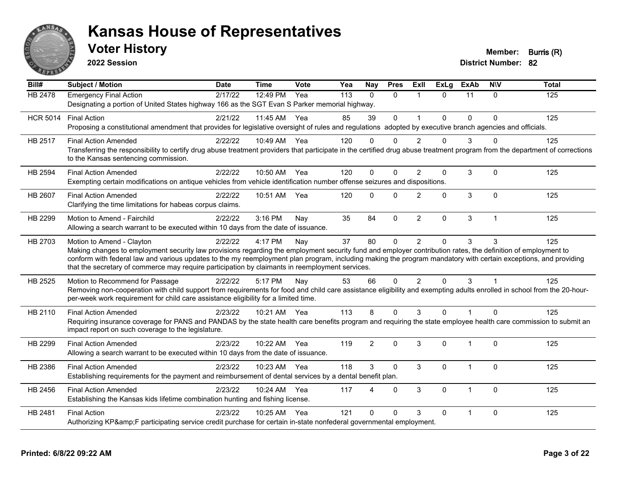

**2022 Session**

**Voter History Member: Burris (R)** 

| Bill#           | <b>Subject / Motion</b>                                                                                                                                                                                                                                                                                                                                                                                                                                         | <b>Date</b> | <b>Time</b>  | Vote | Yea | <b>Nay</b>     | <b>Pres</b>  | ExIl                 | <b>ExLg</b>  | <b>ExAb</b>  | <b>NIV</b>     | <b>Total</b> |
|-----------------|-----------------------------------------------------------------------------------------------------------------------------------------------------------------------------------------------------------------------------------------------------------------------------------------------------------------------------------------------------------------------------------------------------------------------------------------------------------------|-------------|--------------|------|-----|----------------|--------------|----------------------|--------------|--------------|----------------|--------------|
| <b>HB 2478</b>  | <b>Emergency Final Action</b><br>Designating a portion of United States highway 166 as the SGT Evan S Parker memorial highway.                                                                                                                                                                                                                                                                                                                                  | 2/17/22     | 12:49 PM     | Yea  | 113 | $\mathbf{0}$   | $\mathbf{0}$ | $\mathbf 1$          | $\Omega$     | 11           | $\mathbf{0}$   | 125          |
| <b>HCR 5014</b> | <b>Final Action</b><br>Proposing a constitutional amendment that provides for legislative oversight of rules and regulations adopted by executive branch agencies and officials.                                                                                                                                                                                                                                                                                | 2/21/22     | 11:45 AM Yea |      | 85  | 39             | $\mathbf 0$  | $\blacktriangleleft$ | $\Omega$     | $\Omega$     | $\Omega$       | 125          |
| HB 2517         | <b>Final Action Amended</b><br>Transferring the responsibility to certify drug abuse treatment providers that participate in the certified drug abuse treatment program from the department of corrections<br>to the Kansas sentencing commission.                                                                                                                                                                                                              | 2/22/22     | 10:49 AM Yea |      | 120 | $\Omega$       | $\Omega$     | $\mathcal{P}$        | $\Omega$     | 3            | $\Omega$       | 125          |
| HB 2594         | <b>Final Action Amended</b><br>Exempting certain modifications on antique vehicles from vehicle identification number offense seizures and dispositions.                                                                                                                                                                                                                                                                                                        | 2/22/22     | 10:50 AM Yea |      | 120 | $\Omega$       | $\Omega$     | $\overline{2}$       | $\mathbf 0$  | 3            | $\mathbf{0}$   | 125          |
| HB 2607         | <b>Final Action Amended</b><br>Clarifying the time limitations for habeas corpus claims.                                                                                                                                                                                                                                                                                                                                                                        | 2/22/22     | 10:51 AM     | Yea  | 120 | $\Omega$       | $\Omega$     | $\overline{2}$       | $\mathbf{0}$ | 3            | $\mathbf{0}$   | 125          |
| HB 2299         | Motion to Amend - Fairchild<br>Allowing a search warrant to be executed within 10 days from the date of issuance.                                                                                                                                                                                                                                                                                                                                               | 2/22/22     | 3:16 PM      | Nay  | 35  | 84             | $\mathbf 0$  | $\overline{2}$       | $\mathbf 0$  | 3            | $\overline{1}$ | 125          |
| HB 2703         | Motion to Amend - Clayton<br>Making changes to employment security law provisions regarding the employment security fund and employer contribution rates, the definition of employment to<br>conform with federal law and various updates to the my reemployment plan program, including making the program mandatory with certain exceptions, and providing<br>that the secretary of commerce may require participation by claimants in reemployment services. | 2/22/22     | 4:17 PM      | Nay  | 37  | 80             | $\mathbf{0}$ | $\overline{2}$       | $\Omega$     | 3            | 3              | 125          |
| HB 2525         | Motion to Recommend for Passage<br>Removing non-cooperation with child support from requirements for food and child care assistance eligibility and exempting adults enrolled in school from the 20-hour-<br>per-week work requirement for child care assistance eligibility for a limited time.                                                                                                                                                                | 2/22/22     | 5:17 PM      | Nay  | 53  | 66             | $\Omega$     | $\overline{2}$       | $\Omega$     | 3            |                | 125          |
| HB 2110         | <b>Final Action Amended</b><br>Requiring insurance coverage for PANS and PANDAS by the state health care benefits program and requiring the state employee health care commission to submit an<br>impact report on such coverage to the legislature.                                                                                                                                                                                                            | 2/23/22     | 10:21 AM Yea |      | 113 | 8              | $\Omega$     | 3                    | $\Omega$     | 1            | $\Omega$       | 125          |
| HB 2299         | <b>Final Action Amended</b><br>Allowing a search warrant to be executed within 10 days from the date of issuance.                                                                                                                                                                                                                                                                                                                                               | 2/23/22     | 10:22 AM     | Yea  | 119 | $\overline{2}$ | $\mathbf{0}$ | 3                    | $\Omega$     | $\mathbf 1$  | $\mathbf{0}$   | 125          |
| HB 2386         | <b>Final Action Amended</b><br>Establishing requirements for the payment and reimbursement of dental services by a dental benefit plan.                                                                                                                                                                                                                                                                                                                         | 2/23/22     | 10:23 AM     | Yea  | 118 | 3              | $\mathbf 0$  | 3                    | $\mathbf 0$  | $\mathbf{1}$ | $\mathbf 0$    | 125          |
| HB 2456         | <b>Final Action Amended</b><br>Establishing the Kansas kids lifetime combination hunting and fishing license.                                                                                                                                                                                                                                                                                                                                                   | 2/23/22     | 10:24 AM     | Yea  | 117 | 4              | $\mathbf{0}$ | 3                    | $\Omega$     | $\mathbf{1}$ | $\Omega$       | 125          |
| HB 2481         | <b>Final Action</b><br>Authorizing KP&F participating service credit purchase for certain in-state nonfederal governmental employment.                                                                                                                                                                                                                                                                                                                          | 2/23/22     | 10:25 AM     | Yea  | 121 | $\Omega$       | $\Omega$     | 3                    | $\mathbf{0}$ |              | $\mathbf{0}$   | 125          |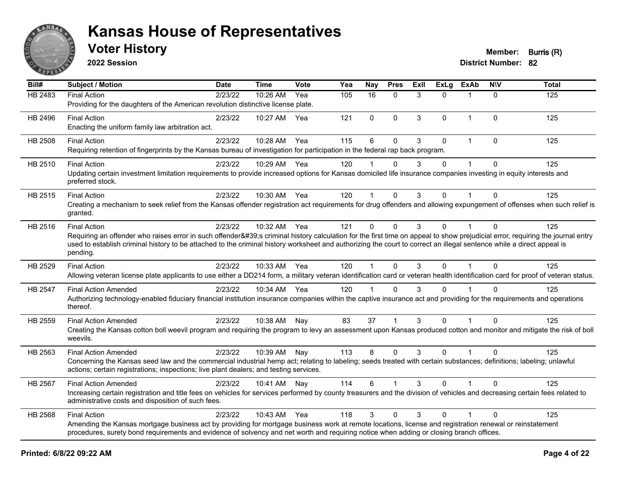

**2022 Session**

**District Number: 82 Voter History Member: Burris (R)** 

| Bill#   | <b>Subject / Motion</b>                                                                                                                                                                                                                                                                                                                                         | <b>Date</b> | <b>Time</b> | Vote | Yea | Nay          | <b>Pres</b>  | ExIl | <b>ExLg</b> | <b>ExAb</b>  | <b>NIV</b>   | <b>Total</b> |
|---------|-----------------------------------------------------------------------------------------------------------------------------------------------------------------------------------------------------------------------------------------------------------------------------------------------------------------------------------------------------------------|-------------|-------------|------|-----|--------------|--------------|------|-------------|--------------|--------------|--------------|
| HB 2483 | <b>Final Action</b>                                                                                                                                                                                                                                                                                                                                             | 2/23/22     | 10:26 AM    | Yea  | 105 | 16           | $\Omega$     | 3    | 0           |              | $\mathbf{0}$ | 125          |
|         | Providing for the daughters of the American revolution distinctive license plate.                                                                                                                                                                                                                                                                               |             |             |      |     |              |              |      |             |              |              |              |
| HB 2496 | <b>Final Action</b>                                                                                                                                                                                                                                                                                                                                             | 2/23/22     | 10:27 AM    | Yea  | 121 | $\mathbf{0}$ | $\Omega$     | 3    | $\Omega$    | $\mathbf{1}$ | $\mathbf{0}$ | 125          |
|         | Enacting the uniform family law arbitration act.                                                                                                                                                                                                                                                                                                                |             |             |      |     |              |              |      |             |              |              |              |
| HB 2508 | <b>Final Action</b>                                                                                                                                                                                                                                                                                                                                             | 2/23/22     | 10:28 AM    | Yea  | 115 | 6            | $\mathbf{0}$ | 3    | $\Omega$    | $\mathbf{1}$ | $\mathbf{0}$ | 125          |
|         | Requiring retention of fingerprints by the Kansas bureau of investigation for participation in the federal rap back program.                                                                                                                                                                                                                                    |             |             |      |     |              |              |      |             |              |              |              |
| HB 2510 | <b>Final Action</b>                                                                                                                                                                                                                                                                                                                                             | 2/23/22     | 10:29 AM    | Yea  | 120 |              | $\Omega$     | 3    | $\Omega$    |              | $\mathbf{0}$ | 125          |
|         | Updating certain investment limitation requirements to provide increased options for Kansas domiciled life insurance companies investing in equity interests and<br>preferred stock.                                                                                                                                                                            |             |             |      |     |              |              |      |             |              |              |              |
| HB 2515 | <b>Final Action</b>                                                                                                                                                                                                                                                                                                                                             | 2/23/22     | 10:30 AM    | Yea  | 120 | 1            | $\mathbf 0$  | 3    | $\Omega$    |              | $\mathbf{0}$ | 125          |
|         | Creating a mechanism to seek relief from the Kansas offender registration act requirements for drug offenders and allowing expungement of offenses when such relief is<br>granted.                                                                                                                                                                              |             |             |      |     |              |              |      |             |              |              |              |
| HB 2516 | <b>Final Action</b>                                                                                                                                                                                                                                                                                                                                             | 2/23/22     | 10:32 AM    | Yea  | 121 | 0            | $\Omega$     | 3    | $\Omega$    |              | $\Omega$     | 125          |
|         | Requiring an offender who raises error in such offender's criminal history calculation for the first time on appeal to show prejudicial error, requiring the journal entry<br>used to establish criminal history to be attached to the criminal history worksheet and authorizing the court to correct an illegal sentence while a direct appeal is<br>pending. |             |             |      |     |              |              |      |             |              |              |              |
| HB 2529 | <b>Final Action</b>                                                                                                                                                                                                                                                                                                                                             | 2/23/22     | 10:33 AM    | Yea  | 120 |              | $\Omega$     | 3    | $\Omega$    |              | $\Omega$     | 125          |
|         | Allowing veteran license plate applicants to use either a DD214 form, a military veteran identification card or veteran health identification card for proof of veteran status.                                                                                                                                                                                 |             |             |      |     |              |              |      |             |              |              |              |
| HB 2547 | <b>Final Action Amended</b>                                                                                                                                                                                                                                                                                                                                     | 2/23/22     | 10:34 AM    | Yea  | 120 | 1            | $\Omega$     | 3    | $\Omega$    |              | $\Omega$     | 125          |
|         | Authorizing technology-enabled fiduciary financial institution insurance companies within the captive insurance act and providing for the requirements and operations<br>thereof.                                                                                                                                                                               |             |             |      |     |              |              |      |             |              |              |              |
| HB 2559 | <b>Final Action Amended</b>                                                                                                                                                                                                                                                                                                                                     | 2/23/22     | 10:38 AM    | Nay  | 83  | 37           |              | 3    | $\Omega$    |              | $\Omega$     | 125          |
|         | Creating the Kansas cotton boll weevil program and requiring the program to levy an assessment upon Kansas produced cotton and monitor and mitigate the risk of boll<br>weevils.                                                                                                                                                                                |             |             |      |     |              |              |      |             |              |              |              |
| HB 2563 | <b>Final Action Amended</b>                                                                                                                                                                                                                                                                                                                                     | 2/23/22     | 10:39 AM    | Nay  | 113 | 8            | $\mathbf{0}$ | 3    | $\Omega$    | $\mathbf 1$  | $\Omega$     | 125          |
|         | Concerning the Kansas seed law and the commercial industrial hemp act; relating to labeling; seeds treated with certain substances; definitions; labeling; unlawful<br>actions; certain registrations; inspections; live plant dealers; and testing services.                                                                                                   |             |             |      |     |              |              |      |             |              |              |              |
| HB 2567 | <b>Final Action Amended</b>                                                                                                                                                                                                                                                                                                                                     | 2/23/22     | 10:41 AM    | Nay  | 114 | 6            | 1            | 3    | $\Omega$    |              | $\Omega$     | 125          |
|         | Increasing certain registration and title fees on vehicles for services performed by county treasurers and the division of vehicles and decreasing certain fees related to<br>administrative costs and disposition of such fees.                                                                                                                                |             |             |      |     |              |              |      |             |              |              |              |
| HB 2568 | <b>Final Action</b>                                                                                                                                                                                                                                                                                                                                             | 2/23/22     | 10:43 AM    | Yea  | 118 | 3            | $\Omega$     | 3    | $\Omega$    |              | $\mathbf{0}$ | 125          |
|         | Amending the Kansas mortgage business act by providing for mortgage business work at remote locations, license and registration renewal or reinstatement<br>procedures, surety bond requirements and evidence of solvency and net worth and requiring notice when adding or closing branch offices.                                                             |             |             |      |     |              |              |      |             |              |              |              |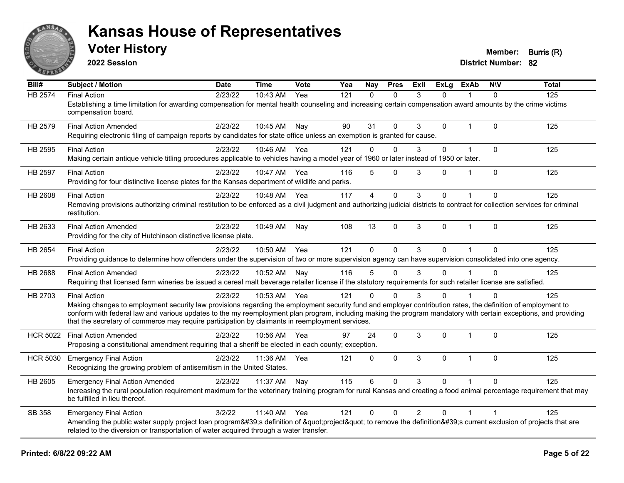

**2022 Session**

**Voter History Member: Burris (R)** 

| Bill#           | Subject / Motion                                                                                                                                                                                                                                                   | <b>Date</b> | <b>Time</b>  | Vote | Yea | Nay          | <b>Pres</b> | ExII           | <b>ExLg</b> | <b>ExAb</b>    | <b>NIV</b>   | <b>Total</b> |
|-----------------|--------------------------------------------------------------------------------------------------------------------------------------------------------------------------------------------------------------------------------------------------------------------|-------------|--------------|------|-----|--------------|-------------|----------------|-------------|----------------|--------------|--------------|
| <b>HB 2574</b>  | <b>Final Action</b>                                                                                                                                                                                                                                                | 2/23/22     | 10:43 AM     | Yea  | 121 | $\Omega$     | $\Omega$    | 3              | $\Omega$    |                | $\Omega$     | 125          |
|                 | Establishing a time limitation for awarding compensation for mental health counseling and increasing certain compensation award amounts by the crime victims<br>compensation board.                                                                                |             |              |      |     |              |             |                |             |                |              |              |
| HB 2579         | <b>Final Action Amended</b>                                                                                                                                                                                                                                        | 2/23/22     | 10:45 AM Nay |      | 90  | 31           | $\Omega$    | 3              | 0           | 1              | $\Omega$     | 125          |
|                 | Requiring electronic filing of campaign reports by candidates for state office unless an exemption is granted for cause.                                                                                                                                           |             |              |      |     |              |             |                |             |                |              |              |
| HB 2595         | <b>Final Action</b>                                                                                                                                                                                                                                                | 2/23/22     | 10:46 AM     | Yea  | 121 | $\mathbf 0$  | $\mathbf 0$ | 3              | 0           | $\overline{1}$ | $\mathbf 0$  | 125          |
|                 | Making certain antique vehicle titling procedures applicable to vehicles having a model year of 1960 or later instead of 1950 or later.                                                                                                                            |             |              |      |     |              |             |                |             |                |              |              |
| HB 2597         | <b>Final Action</b>                                                                                                                                                                                                                                                | 2/23/22     | 10:47 AM     | Yea  | 116 | 5            | $\Omega$    | 3              | 0           |                | $\Omega$     | 125          |
|                 | Providing for four distinctive license plates for the Kansas department of wildlife and parks.                                                                                                                                                                     |             |              |      |     |              |             |                |             |                |              |              |
| HB 2608         | <b>Final Action</b>                                                                                                                                                                                                                                                | 2/23/22     | 10:48 AM     | Yea  | 117 | 4            | $\mathbf 0$ | 3              | 0           |                | $\mathbf{0}$ | 125          |
|                 | Removing provisions authorizing criminal restitution to be enforced as a civil judgment and authorizing judicial districts to contract for collection services for criminal<br>restitution.                                                                        |             |              |      |     |              |             |                |             |                |              |              |
| HB 2633         | <b>Final Action Amended</b>                                                                                                                                                                                                                                        | 2/23/22     | 10:49 AM     | Nay  | 108 | 13           | $\mathbf 0$ | 3              | 0           | $\mathbf{1}$   | $\Omega$     | 125          |
|                 | Providing for the city of Hutchinson distinctive license plate.                                                                                                                                                                                                    |             |              |      |     |              |             |                |             |                |              |              |
| HB 2654         | <b>Final Action</b>                                                                                                                                                                                                                                                | 2/23/22     | 10:50 AM     | Yea  | 121 | $\Omega$     | $\Omega$    | 3              | $\Omega$    | $\overline{1}$ | $\Omega$     | 125          |
|                 | Providing guidance to determine how offenders under the supervision of two or more supervision agency can have supervision consolidated into one agency.                                                                                                           |             |              |      |     |              |             |                |             |                |              |              |
| HB 2688         | <b>Final Action Amended</b>                                                                                                                                                                                                                                        | 2/23/22     | 10:52 AM     | Nay  | 116 | 5            | $\Omega$    | 3              | 0           |                | $\Omega$     | 125          |
|                 | Requiring that licensed farm wineries be issued a cereal malt beverage retailer license if the statutory requirements for such retailer license are satisfied.                                                                                                     |             |              |      |     |              |             |                |             |                |              |              |
| HB 2703         | <b>Final Action</b>                                                                                                                                                                                                                                                | 2/23/22     | 10:53 AM Yea |      | 121 | $\Omega$     | $\Omega$    | 3              | 0           |                | $\Omega$     | 125          |
|                 | Making changes to employment security law provisions regarding the employment security fund and employer contribution rates, the definition of employment to                                                                                                       |             |              |      |     |              |             |                |             |                |              |              |
|                 | conform with federal law and various updates to the my reemployment plan program, including making the program mandatory with certain exceptions, and providing<br>that the secretary of commerce may require participation by claimants in reemployment services. |             |              |      |     |              |             |                |             |                |              |              |
| <b>HCR 5022</b> | <b>Final Action Amended</b>                                                                                                                                                                                                                                        | 2/23/22     | 10:56 AM     | Yea  | 97  | 24           | $\mathbf 0$ | 3              | 0           | 1              | $\mathbf 0$  | 125          |
|                 | Proposing a constitutional amendment requiring that a sheriff be elected in each county; exception.                                                                                                                                                                |             |              |      |     |              |             |                |             |                |              |              |
| <b>HCR 5030</b> | <b>Emergency Final Action</b>                                                                                                                                                                                                                                      | 2/23/22     | 11:36 AM     | Yea  | 121 | $\mathbf{0}$ | $\Omega$    | 3              | $\Omega$    | 1              | $\Omega$     | 125          |
|                 | Recognizing the growing problem of antisemitism in the United States.                                                                                                                                                                                              |             |              |      |     |              |             |                |             |                |              |              |
| HB 2605         | <b>Emergency Final Action Amended</b>                                                                                                                                                                                                                              | 2/23/22     | 11:37 AM     | Nay  | 115 | 6            | $\Omega$    | 3              | 0           |                | $\Omega$     | 125          |
|                 | Increasing the rural population requirement maximum for the veterinary training program for rural Kansas and creating a food animal percentage requirement that may<br>be fulfilled in lieu thereof.                                                               |             |              |      |     |              |             |                |             |                |              |              |
| SB 358          | <b>Emergency Final Action</b>                                                                                                                                                                                                                                      | 3/2/22      | 11:40 AM     | Yea  | 121 | $\mathbf{0}$ | $\mathbf 0$ | $\overline{2}$ | 0           |                |              | 125          |
|                 | Amending the public water supply project loan program's definition of "project" to remove the definition's current exclusion of projects that are<br>related to the diversion or transportation of water acquired through a water transfer.                        |             |              |      |     |              |             |                |             |                |              |              |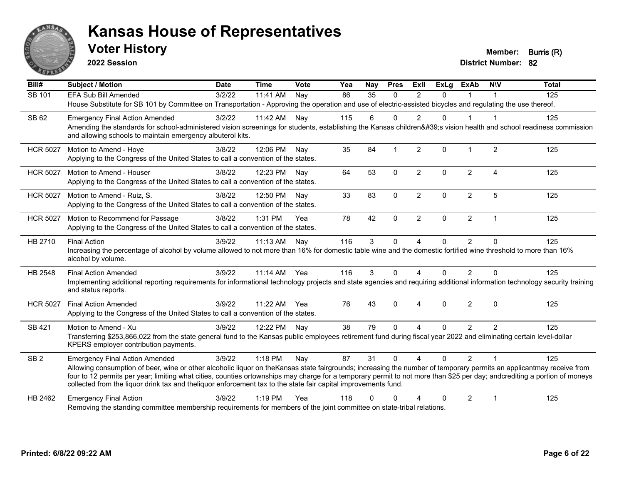

**2022 Session**

**Voter History Member: Burris (R)** 

| Bill#           | <b>Subject / Motion</b>                                                                                                                                                                                                                                                                                                                                                                                                                                             | <b>Date</b> | <b>Time</b>  | Vote | Yea | Nay      | <b>Pres</b> | Exll           | $\overline{Ex}$ Lg | <b>ExAb</b>    | <b>NIV</b>             | <b>Total</b> |
|-----------------|---------------------------------------------------------------------------------------------------------------------------------------------------------------------------------------------------------------------------------------------------------------------------------------------------------------------------------------------------------------------------------------------------------------------------------------------------------------------|-------------|--------------|------|-----|----------|-------------|----------------|--------------------|----------------|------------------------|--------------|
| SB 101          | <b>EFA Sub Bill Amended</b>                                                                                                                                                                                                                                                                                                                                                                                                                                         | 3/2/22      | 11:41 AM     | Nay  | 86  | 35       | $\Omega$    | $\mathfrak{p}$ | $\Omega$           |                |                        | 125          |
|                 | House Substitute for SB 101 by Committee on Transportation - Approving the operation and use of electric-assisted bicycles and regulating the use thereof.                                                                                                                                                                                                                                                                                                          |             |              |      |     |          |             |                |                    |                |                        |              |
| SB 62           | <b>Emergency Final Action Amended</b>                                                                                                                                                                                                                                                                                                                                                                                                                               | 3/2/22      | 11:42 AM     | Nay  | 115 | 6        | $\Omega$    | 2              | $\Omega$           | 1              | -1                     | 125          |
|                 | Amending the standards for school-administered vision screenings for students, establishing the Kansas children's vision health and school readiness commission<br>and allowing schools to maintain emergency albuterol kits.                                                                                                                                                                                                                                       |             |              |      |     |          |             |                |                    |                |                        |              |
| <b>HCR 5027</b> | Motion to Amend - Hoye                                                                                                                                                                                                                                                                                                                                                                                                                                              | 3/8/22      | 12:06 PM     | Nav  | 35  | 84       |             | $\overline{2}$ | $\Omega$           | $\mathbf 1$    | $\overline{2}$         | 125          |
|                 | Applying to the Congress of the United States to call a convention of the states.                                                                                                                                                                                                                                                                                                                                                                                   |             |              |      |     |          |             |                |                    |                |                        |              |
| <b>HCR 5027</b> | Motion to Amend - Houser                                                                                                                                                                                                                                                                                                                                                                                                                                            | 3/8/22      | 12:23 PM Nav |      | 64  | 53       | $\Omega$    | $\overline{2}$ | $\Omega$           | $\overline{2}$ | $\boldsymbol{\Lambda}$ | 125          |
|                 | Applying to the Congress of the United States to call a convention of the states.                                                                                                                                                                                                                                                                                                                                                                                   |             |              |      |     |          |             |                |                    |                |                        |              |
| <b>HCR 5027</b> | Motion to Amend - Ruiz, S.                                                                                                                                                                                                                                                                                                                                                                                                                                          | 3/8/22      | 12:50 PM     | Nav  | 33  | 83       | $\mathbf 0$ | $\overline{2}$ | 0                  | $\overline{2}$ | 5                      | 125          |
|                 | Applying to the Congress of the United States to call a convention of the states.                                                                                                                                                                                                                                                                                                                                                                                   |             |              |      |     |          |             |                |                    |                |                        |              |
| <b>HCR 5027</b> | Motion to Recommend for Passage                                                                                                                                                                                                                                                                                                                                                                                                                                     | 3/8/22      | 1:31 PM      | Yea  | 78  | 42       | $\Omega$    | $\overline{2}$ | $\Omega$           | $\overline{2}$ | $\overline{1}$         | 125          |
|                 | Applying to the Congress of the United States to call a convention of the states.                                                                                                                                                                                                                                                                                                                                                                                   |             |              |      |     |          |             |                |                    |                |                        |              |
| HB 2710         | <b>Final Action</b>                                                                                                                                                                                                                                                                                                                                                                                                                                                 | 3/9/22      | 11:13 AM     | Nay  | 116 | 3        | $\mathbf 0$ | 4              | 0                  | $\overline{2}$ | $\Omega$               | 125          |
|                 | Increasing the percentage of alcohol by volume allowed to not more than 16% for domestic table wine and the domestic fortified wine threshold to more than 16%<br>alcohol by volume.                                                                                                                                                                                                                                                                                |             |              |      |     |          |             |                |                    |                |                        |              |
| HB 2548         | <b>Final Action Amended</b>                                                                                                                                                                                                                                                                                                                                                                                                                                         | 3/9/22      | 11:14 AM     | Yea  | 116 | 3        | $\mathbf 0$ | 4              | $\Omega$           | $\overline{2}$ | $\Omega$               | 125          |
|                 | Implementing additional reporting requirements for informational technology projects and state agencies and requiring additional information technology security training<br>and status reports.                                                                                                                                                                                                                                                                    |             |              |      |     |          |             |                |                    |                |                        |              |
| <b>HCR 5027</b> | <b>Final Action Amended</b>                                                                                                                                                                                                                                                                                                                                                                                                                                         | 3/9/22      | 11:22 AM     | Yea  | 76  | 43       | $\Omega$    | $\overline{A}$ | $\Omega$           | $\overline{2}$ | $\Omega$               | 125          |
|                 | Applying to the Congress of the United States to call a convention of the states.                                                                                                                                                                                                                                                                                                                                                                                   |             |              |      |     |          |             |                |                    |                |                        |              |
| SB 421          | Motion to Amend - Xu                                                                                                                                                                                                                                                                                                                                                                                                                                                | 3/9/22      | 12:22 PM Nay |      | 38  | 79       | $\Omega$    | 4              | $\Omega$           | $\overline{2}$ | 2                      | 125          |
|                 | Transferring \$253,866,022 from the state general fund to the Kansas public employees retirement fund during fiscal year 2022 and eliminating certain level-dollar<br>KPERS employer contribution payments.                                                                                                                                                                                                                                                         |             |              |      |     |          |             |                |                    |                |                        |              |
| SB <sub>2</sub> | <b>Emergency Final Action Amended</b>                                                                                                                                                                                                                                                                                                                                                                                                                               | 3/9/22      | 1:18 PM      | Nay  | 87  | 31       | $\Omega$    | 4              | $\Omega$           | $\overline{2}$ | $\overline{1}$         | 125          |
|                 | Allowing consumption of beer, wine or other alcoholic liquor on theKansas state fairgrounds; increasing the number of temporary permits an applicantmay receive from<br>four to 12 permits per year; limiting what cities, counties ortownships may charge for a temporary permit to not more than \$25 per day; andcrediting a portion of moneys<br>collected from the liquor drink tax and theliquor enforcement tax to the state fair capital improvements fund. |             |              |      |     |          |             |                |                    |                |                        |              |
| HB 2462         | <b>Emergency Final Action</b>                                                                                                                                                                                                                                                                                                                                                                                                                                       | 3/9/22      | $1:19$ PM    | Yea  | 118 | $\Omega$ | $\Omega$    |                | 0                  | $\overline{2}$ | $\overline{1}$         | 125          |
|                 | Removing the standing committee membership requirements for members of the joint committee on state-tribal relations.                                                                                                                                                                                                                                                                                                                                               |             |              |      |     |          |             |                |                    |                |                        |              |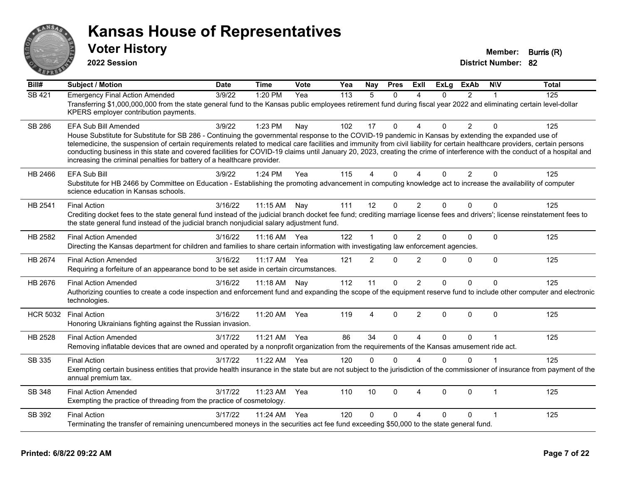

**2022 Session**

**Voter History Member: Burris (R)** 

| Bill#           | <b>Subject / Motion</b>                                                                                                                                                                                                                                                                                                                                                                                                                                                                                                                                                                                                      | <b>Date</b> | <b>Time</b> | Vote | Yea | Nay            | <b>Pres</b>  | ExII                     | <b>ExLg</b> | <b>ExAb</b>    | <b>NIV</b>              | <b>Total</b> |
|-----------------|------------------------------------------------------------------------------------------------------------------------------------------------------------------------------------------------------------------------------------------------------------------------------------------------------------------------------------------------------------------------------------------------------------------------------------------------------------------------------------------------------------------------------------------------------------------------------------------------------------------------------|-------------|-------------|------|-----|----------------|--------------|--------------------------|-------------|----------------|-------------------------|--------------|
| <b>SB 421</b>   | <b>Emergency Final Action Amended</b><br>Transferring \$1,000,000,000 from the state general fund to the Kansas public employees retirement fund during fiscal year 2022 and eliminating certain level-dollar<br>KPERS employer contribution payments.                                                                                                                                                                                                                                                                                                                                                                       | 3/9/22      | 1:20 PM     | Yea  | 113 | $\overline{5}$ | $\Omega$     | $\boldsymbol{\Lambda}$   | 0           | $\overline{2}$ |                         | 125          |
| <b>SB 286</b>   | <b>EFA Sub Bill Amended</b><br>House Substitute for Substitute for SB 286 - Continuing the governmental response to the COVID-19 pandemic in Kansas by extending the expanded use of<br>telemedicine, the suspension of certain requirements related to medical care facilities and immunity from civil liability for certain healthcare providers, certain persons<br>conducting business in this state and covered facilities for COVID-19 claims until January 20, 2023, creating the crime of interference with the conduct of a hospital and<br>increasing the criminal penalties for battery of a healthcare provider. | 3/9/22      | 1:23 PM     | Nay  | 102 | 17             | $\Omega$     | $\Delta$                 | 0           | $\overline{2}$ | $\Omega$                | 125          |
| HB 2466         | EFA Sub Bill<br>Substitute for HB 2466 by Committee on Education - Establishing the promoting advancement in computing knowledge act to increase the availability of computer<br>science education in Kansas schools.                                                                                                                                                                                                                                                                                                                                                                                                        | 3/9/22      | 1:24 PM     | Yea  | 115 | 4              | $\Omega$     | Δ                        | 0           | $\overline{2}$ | $\Omega$                | 125          |
| HB 2541         | <b>Final Action</b><br>Crediting docket fees to the state general fund instead of the judicial branch docket fee fund; crediting marriage license fees and drivers'; license reinstatement fees to<br>the state general fund instead of the judicial branch nonjudicial salary adjustment fund.                                                                                                                                                                                                                                                                                                                              | 3/16/22     | 11:15 AM    | Nay  | 111 | 12             | $\Omega$     | 2                        | 0           | $\Omega$       | $\Omega$                | 125          |
| HB 2582         | <b>Final Action Amended</b><br>Directing the Kansas department for children and families to share certain information with investigating law enforcement agencies.                                                                                                                                                                                                                                                                                                                                                                                                                                                           | 3/16/22     | 11:16 AM    | Yea  | 122 | 1              | $\Omega$     | $\overline{2}$           | 0           | $\Omega$       | $\mathbf{0}$            | 125          |
| HB 2674         | <b>Final Action Amended</b><br>Requiring a forfeiture of an appearance bond to be set aside in certain circumstances.                                                                                                                                                                                                                                                                                                                                                                                                                                                                                                        | 3/16/22     | 11:17 AM    | Yea  | 121 | $\overline{2}$ | $\Omega$     | 2                        | 0           | $\Omega$       | $\mathbf{0}$            | 125          |
| HB 2676         | <b>Final Action Amended</b><br>Authorizing counties to create a code inspection and enforcement fund and expanding the scope of the equipment reserve fund to include other computer and electronic<br>technologies.                                                                                                                                                                                                                                                                                                                                                                                                         | 3/16/22     | 11:18 AM    | Nay  | 112 | 11             | 0            | $\overline{2}$           | 0           | $\Omega$       | $\mathbf 0$             | 125          |
| <b>HCR 5032</b> | <b>Final Action</b><br>Honoring Ukrainians fighting against the Russian invasion.                                                                                                                                                                                                                                                                                                                                                                                                                                                                                                                                            | 3/16/22     | 11:20 AM    | Yea  | 119 | 4              | $\Omega$     | $\overline{2}$           | 0           | $\Omega$       | $\mathbf{0}$            | 125          |
| HB 2528         | <b>Final Action Amended</b><br>Removing inflatable devices that are owned and operated by a nonprofit organization from the requirements of the Kansas amusement ride act.                                                                                                                                                                                                                                                                                                                                                                                                                                                   | 3/17/22     | 11:21 AM    | Yea  | 86  | 34             | $\Omega$     | $\boldsymbol{\varDelta}$ | 0           | $\Omega$       |                         | 125          |
| SB 335          | <b>Final Action</b><br>Exempting certain business entities that provide health insurance in the state but are not subject to the jurisdiction of the commissioner of insurance from payment of the<br>annual premium tax.                                                                                                                                                                                                                                                                                                                                                                                                    | 3/17/22     | 11:22 AM    | Yea  | 120 | 0              | $\Omega$     | $\Lambda$                | $\Omega$    | $\Omega$       |                         | 125          |
| SB 348          | <b>Final Action Amended</b><br>Exempting the practice of threading from the practice of cosmetology.                                                                                                                                                                                                                                                                                                                                                                                                                                                                                                                         | 3/17/22     | 11:23 AM    | Yea  | 110 | 10             | $\Omega$     | $\overline{4}$           | $\Omega$    | $\mathbf 0$    | $\mathbf 1$             | 125          |
| SB 392          | <b>Final Action</b><br>Terminating the transfer of remaining unencumbered moneys in the securities act fee fund exceeding \$50,000 to the state general fund.                                                                                                                                                                                                                                                                                                                                                                                                                                                                | 3/17/22     | 11:24 AM    | Yea  | 120 | 0              | $\mathbf{0}$ | 4                        | 0           | 0              | $\overline{\mathbf{1}}$ | 125          |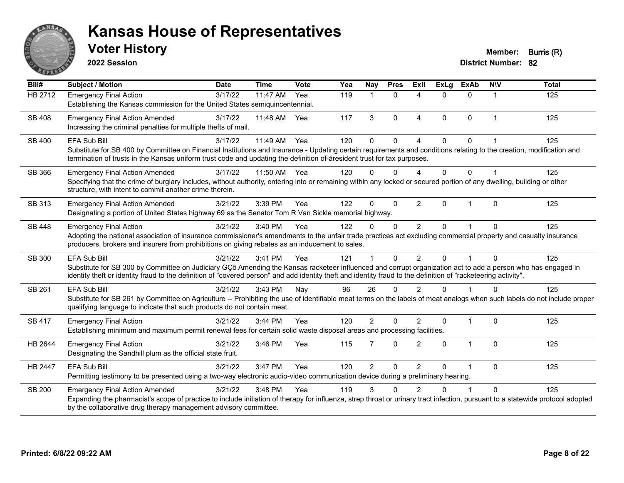

**2022 Session**

**District Number: 82 Voter History Member: Burris (R)** 

**Bill# Subject / Motion Date Time Vote Yea Nay Pres Exll ExLg ExAb N\V Total** HB 2712 Emergency Final Action 3/17/22 11:47 AM Yea 119 1 0 4 0 0 1 125 Establishing the Kansas commission for the United States semiquincentennial. SB 408 Emergency Final Action Amended 3/17/22 11:48 AM Yea 117 3 0 4 0 0 1 125 Increasing the criminal penalties for multiple thefts of mail. SB 400 EFA Sub Bill 3/17/22 11:49 AM Yea 120 0 4 0 0 1 125 Substitute for SB 400 by Committee on Financial Institutions and Insurance - Updating certain requirements and conditions relating to the creation, modification and termination of trusts in the Kansas uniform trust code and updating the definition of-áresident trust for tax purposes. SB 366 Emergency Final Action Amended 3/17/22 11:50 AM Yea 120 0 0 4 0 0 1 125 Specifying that the crime of burglary includes, without authority, entering into or remaining within any locked or secured portion of any dwelling, building or other structure, with intent to commit another crime therein. SB 313 Emergency Final Action Amended 3/21/22 3:39 PM Yea 122 0 0 2 0 1 0 125 Designating a portion of United States highway 69 as the Senator Tom R Van Sickle memorial highway. SB 448 Emergency Final Action (a) 3/21/22 3:40 PM Yea (a) 122 0 0 2 0 1 0 125 Adopting the national association of insurance commissioner's amendments to the unfair trade practices act excluding commercial property and casualty insurance producers, brokers and insurers from prohibitions on giving rebates as an inducement to sales. SB 300 EFA Sub Bill 3/21/22 3:41 PM Yea 121 1 0 2 0 1 0 125 Substitute for SB 300 by Committee on Judiciary GÇô Amending the Kansas racketeer influenced and corrupt organization act to add a person who has engaged in identity theft or identity fraud to the definition of "covered person" and add identity theft and identity fraud to the definition of "racketeering activity". SB 261 EFA Sub Bill 3/21/22 3:43 PM Nay 96 26 0 2 0 1 0 125 Substitute for SB 261 by Committee on Agriculture -- Prohibiting the use of identifiable meat terms on the labels of meat analogs when such labels do not include proper qualifying language to indicate that such products do not contain meat. SB 417 Emergency Final Action 2002 3/21/22 3:44 PM Yea 320 2 0 2 0 1 0 125 Establishing minimum and maximum permit renewal fees for certain solid waste disposal areas and processing facilities. HB 2644 Emergency Final Action (a) 3/21/22 3:46 PM Yea 115 7 0 2 0 1 0 125 Designating the Sandhill plum as the official state fruit. HB 2447 EFA Sub Bill 3/21/22 3:47 PM Yea 120 2 0 2 0 1 0 125 Permitting testimony to be presented using a two-way electronic audio-video communication device during a preliminary hearing. SB 200 Emergency Final Action Amended 3/21/22 3:48 PM Yea 119 3 0 2 0 1 0 125 Expanding the pharmacist's scope of practice to include initiation of therapy for influenza, strep throat or urinary tract infection, pursuant to a statewide protocol adopted by the collaborative drug therapy management advisory committee.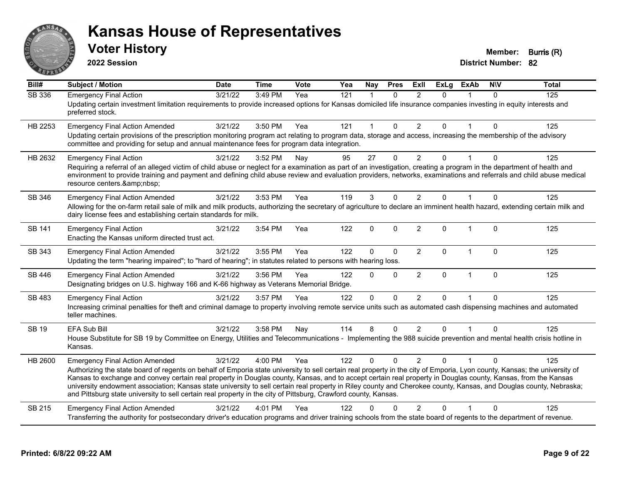

**2022 Session**

**District Number: 82 Voter History Member: Burris (R)** 

**Bill# Subject / Motion Date Time Vote Yea Nay Pres Exll ExLg ExAb N\V Total** SB 336 Emergency Final Action 3/21/22 3:49 PM Yea 121 1 0 2 0 1 0 125 Updating certain investment limitation requirements to provide increased options for Kansas domiciled life insurance companies investing in equity interests and preferred stock. HB 2253 Emergency Final Action Amended 3/21/22 3:50 PM Yea 121 1 0 2 0 1 0 125 Updating certain provisions of the prescription monitoring program act relating to program data, storage and access, increasing the membership of the advisory committee and providing for setup and annual maintenance fees for program data integration. HB 2632 Emergency Final Action 2012 3/21/22 3:52 PM Nay 30 27 0 2 0 1 0 125 Requiring a referral of an alleged victim of child abuse or neglect for a examination as part of an investigation, creating a program in the department of health and environment to provide training and payment and defining child abuse review and evaluation providers, networks, examinations and referrals and child abuse medical resource centers.&amp:nbsp: SB 346 Emergency Final Action Amended 3/21/22 3:53 PM Yea 119 3 0 2 0 1 0 125 Allowing for the on-farm retail sale of milk and milk products, authorizing the secretary of agriculture to declare an imminent health hazard, extending certain milk and dairy license fees and establishing certain standards for milk. SB 141 Emergency Final Action 2002 125 3/21/22 3:54 PM Yea 3122 0 0 2 0 1 0 125 Enacting the Kansas uniform directed trust act. SB 343 Emergency Final Action Amended 3/21/22 3:55 PM Yea 122 0 0 2 0 1 0 125 Updating the term "hearing impaired"; to "hard of hearing"; in statutes related to persons with hearing loss. SB 446 Emergency Final Action Amended 3/21/22 3:56 PM Yea 122 0 0 2 0 1 0 125 Designating bridges on U.S. highway 166 and K-66 highway as Veterans Memorial Bridge. SB 483 Emergency Final Action 3/21/22 3:57 PM Yea 122 0 0 2 0 1 0 125 Increasing criminal penalties for theft and criminal damage to property involving remote service units such as automated cash dispensing machines and automated teller machines. SB 19 EFA Sub Bill 3/21/22 3:58 PM Nay 114 8 0 2 0 1 0 125 House Substitute for SB 19 by Committee on Energy, Utilities and Telecommunications - Implementing the 988 suicide prevention and mental health crisis hotline in Kansas. HB 2600 Emergency Final Action Amended 3/21/22 4:00 PM Yea 122 0 0 2 0 1 0 125 Authorizing the state board of regents on behalf of Emporia state university to sell certain real property in the city of Emporia, Lyon county, Kansas; the university of Kansas to exchange and convey certain real property in Douglas county, Kansas, and to accept certain real property in Douglas county, Kansas, from the Kansas university endowment association; Kansas state university to sell certain real property in Riley county and Cherokee county, Kansas, and Douglas county, Nebraska; and Pittsburg state university to sell certain real property in the city of Pittsburg, Crawford county, Kansas. SB 215 Emergency Final Action Amended 3/21/22 4:01 PM Yea 122 0 0 2 0 1 0 125 Transferring the authority for postsecondary driver's education programs and driver training schools from the state board of regents to the department of revenue.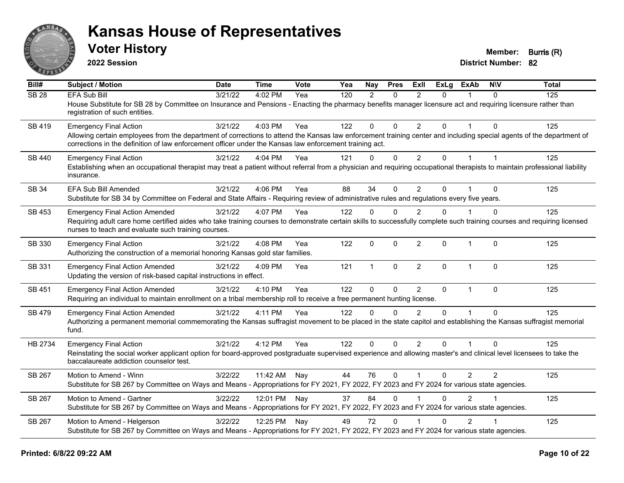

**2022 Session**

**Voter History Member: Burris (R)** 

| Bill#            | Subject / Motion                                                                                                                                                                                                                                                                | <b>Date</b> | <b>Time</b> | <b>Vote</b> | Yea | <b>Nay</b>   | <b>Pres</b>  | ExII           | <b>ExLg</b>  | <b>ExAb</b>    | <b>NIV</b>     | <b>Total</b> |
|------------------|---------------------------------------------------------------------------------------------------------------------------------------------------------------------------------------------------------------------------------------------------------------------------------|-------------|-------------|-------------|-----|--------------|--------------|----------------|--------------|----------------|----------------|--------------|
| SB <sub>28</sub> | <b>EFA Sub Bill</b>                                                                                                                                                                                                                                                             | 3/21/22     | 4:02 PM     | Yea         | 120 | 2            | $\Omega$     | $\mathcal{P}$  | 0            |                | $\Omega$       | 125          |
|                  | House Substitute for SB 28 by Committee on Insurance and Pensions - Enacting the pharmacy benefits manager licensure act and requiring licensure rather than<br>registration of such entities.                                                                                  |             |             |             |     |              |              |                |              |                |                |              |
| SB 419           | <b>Emergency Final Action</b>                                                                                                                                                                                                                                                   | 3/21/22     | 4:03 PM     | Yea         | 122 | $\mathbf 0$  | $\mathbf{0}$ | $\overline{2}$ | $\Omega$     |                | $\Omega$       | 125          |
|                  | Allowing certain employees from the department of corrections to attend the Kansas law enforcement training center and including special agents of the department of<br>corrections in the definition of law enforcement officer under the Kansas law enforcement training act. |             |             |             |     |              |              |                |              |                |                |              |
| SB 440           | <b>Emergency Final Action</b>                                                                                                                                                                                                                                                   | 3/21/22     | 4:04 PM     | Yea         | 121 | $\mathbf 0$  | $\mathbf 0$  | $\overline{2}$ | 0            |                | $\overline{1}$ | 125          |
|                  | Establishing when an occupational therapist may treat a patient without referral from a physician and requiring occupational therapists to maintain professional liability<br>insurance.                                                                                        |             |             |             |     |              |              |                |              |                |                |              |
| <b>SB 34</b>     | EFA Sub Bill Amended                                                                                                                                                                                                                                                            | 3/21/22     | 4:06 PM     | Yea         | 88  | 34           | $\Omega$     | $\overline{2}$ | $\Omega$     |                | $\Omega$       | 125          |
|                  | Substitute for SB 34 by Committee on Federal and State Affairs - Requiring review of administrative rules and regulations every five years.                                                                                                                                     |             |             |             |     |              |              |                |              |                |                |              |
| SB 453           | <b>Emergency Final Action Amended</b>                                                                                                                                                                                                                                           | 3/21/22     | 4:07 PM     | Yea         | 122 | $\Omega$     | $\Omega$     | $\overline{2}$ | $\Omega$     |                | $\Omega$       | 125          |
|                  | Requiring adult care home certified aides who take training courses to demonstrate certain skills to successfully complete such training courses and requiring licensed<br>nurses to teach and evaluate such training courses.                                                  |             |             |             |     |              |              |                |              |                |                |              |
| SB 330           | <b>Emergency Final Action</b><br>Authorizing the construction of a memorial honoring Kansas gold star families.                                                                                                                                                                 | 3/21/22     | 4:08 PM     | Yea         | 122 | 0            | $\mathbf 0$  | $\overline{2}$ | $\mathbf 0$  | $\mathbf{1}$   | $\mathbf{0}$   | 125          |
| SB 331           | <b>Emergency Final Action Amended</b><br>Updating the version of risk-based capital instructions in effect.                                                                                                                                                                     | 3/21/22     | 4:09 PM     | Yea         | 121 | $\mathbf{1}$ | $\mathbf{0}$ | $\overline{2}$ | $\Omega$     | $\mathbf{1}$   | $\Omega$       | 125          |
| SB 451           | <b>Emergency Final Action Amended</b>                                                                                                                                                                                                                                           | 3/21/22     | 4:10 PM     | Yea         | 122 | $\Omega$     | $\mathbf{0}$ | $\overline{2}$ | $\mathbf{0}$ | $\mathbf{1}$   | $\mathbf{0}$   | 125          |
|                  | Requiring an individual to maintain enrollment on a tribal membership roll to receive a free permanent hunting license.                                                                                                                                                         |             |             |             |     |              |              |                |              |                |                |              |
| <b>SB 479</b>    | <b>Emergency Final Action Amended</b>                                                                                                                                                                                                                                           | 3/21/22     | 4:11 PM     | Yea         | 122 | $\Omega$     | $\Omega$     | $\mathcal{P}$  | $\Omega$     |                | $\Omega$       | 125          |
|                  | Authorizing a permanent memorial commemorating the Kansas suffragist movement to be placed in the state capitol and establishing the Kansas suffragist memorial<br>fund.                                                                                                        |             |             |             |     |              |              |                |              |                |                |              |
| HB 2734          | <b>Emergency Final Action</b>                                                                                                                                                                                                                                                   | 3/21/22     | 4:12 PM     | Yea         | 122 | $\Omega$     | $\Omega$     | $\overline{2}$ | $\Omega$     |                | $\Omega$       | 125          |
|                  | Reinstating the social worker applicant option for board-approved postgraduate supervised experience and allowing master's and clinical level licensees to take the<br>baccalaureate addiction counselor test.                                                                  |             |             |             |     |              |              |                |              |                |                |              |
| SB 267           | Motion to Amend - Winn                                                                                                                                                                                                                                                          | 3/22/22     | 11:42 AM    | Nay         | 44  | 76           | $\mathbf{0}$ | $\mathbf 1$    | $\Omega$     | $\overline{2}$ | $\overline{2}$ | 125          |
|                  | Substitute for SB 267 by Committee on Ways and Means - Appropriations for FY 2021, FY 2022, FY 2023 and FY 2024 for various state agencies.                                                                                                                                     |             |             |             |     |              |              |                |              |                |                |              |
| SB 267           | Motion to Amend - Gartner                                                                                                                                                                                                                                                       | 3/22/22     | 12:01 PM    | Nay         | 37  | 84           | $\mathbf{0}$ |                | $\Omega$     | $\overline{2}$ |                | 125          |
|                  | Substitute for SB 267 by Committee on Ways and Means - Appropriations for FY 2021, FY 2022, FY 2023 and FY 2024 for various state agencies.                                                                                                                                     |             |             |             |     |              |              |                |              |                |                |              |
| SB 267           | Motion to Amend - Helgerson                                                                                                                                                                                                                                                     | 3/22/22     | 12:25 PM    | Nay         | 49  | 72           | $\Omega$     |                | $\Omega$     | $\overline{2}$ |                | 125          |
|                  | Substitute for SB 267 by Committee on Ways and Means - Appropriations for FY 2021, FY 2022, FY 2023 and FY 2024 for various state agencies.                                                                                                                                     |             |             |             |     |              |              |                |              |                |                |              |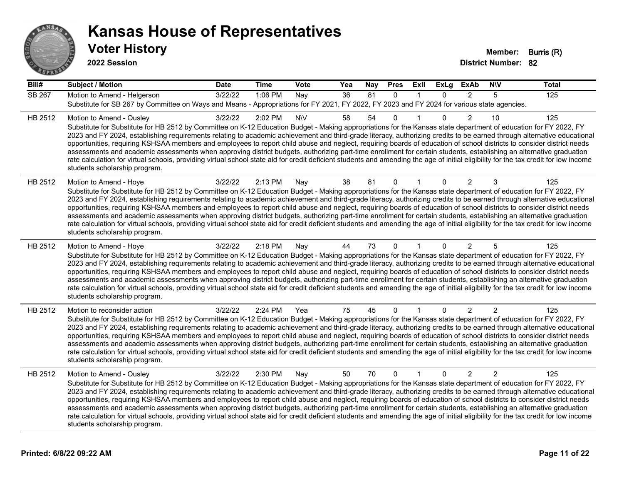

| Bill#   | <b>Subject / Motion</b>                                                                                                                                                                                                                                                                                                                                                                                                                                                                                                                                                                                                                                                                                                                                                                                                                                                                                                                             | <b>Date</b> | <b>Time</b> | Vote      | Yea | Nay | <b>Pres</b>  | ExII         | <b>ExLg</b>  | <b>ExAb</b>    | <b>NIV</b>     | <b>Total</b> |
|---------|-----------------------------------------------------------------------------------------------------------------------------------------------------------------------------------------------------------------------------------------------------------------------------------------------------------------------------------------------------------------------------------------------------------------------------------------------------------------------------------------------------------------------------------------------------------------------------------------------------------------------------------------------------------------------------------------------------------------------------------------------------------------------------------------------------------------------------------------------------------------------------------------------------------------------------------------------------|-------------|-------------|-----------|-----|-----|--------------|--------------|--------------|----------------|----------------|--------------|
| SB 267  | Motion to Amend - Helgerson<br>Substitute for SB 267 by Committee on Ways and Means - Appropriations for FY 2021, FY 2022, FY 2023 and FY 2024 for various state agencies.                                                                                                                                                                                                                                                                                                                                                                                                                                                                                                                                                                                                                                                                                                                                                                          | 3/22/22     | 1:06 PM     | Nay       | 36  | 81  | $\Omega$     | $\mathbf{1}$ | $\Omega$     | $\mathcal{P}$  | 5              | 125          |
| HB 2512 | Motion to Amend - Ousley<br>Substitute for Substitute for HB 2512 by Committee on K-12 Education Budget - Making appropriations for the Kansas state department of education for FY 2022, FY<br>2023 and FY 2024, establishing requirements relating to academic achievement and third-grade literacy, authorizing credits to be earned through alternative educational<br>opportunities, requiring KSHSAA members and employees to report child abuse and neglect, requiring boards of education of school districts to consider district needs<br>assessments and academic assessments when approving district budgets, authorizing part-time enrollment for certain students, establishing an alternative graduation<br>rate calculation for virtual schools, providing virtual school state aid for credit deficient students and amending the age of initial eligibility for the tax credit for low income<br>students scholarship program.    | 3/22/22     | 2:02 PM     | <b>NV</b> | 58  | 54  | $\Omega$     |              | $\Omega$     | $\overline{2}$ | 10             | 125          |
| HB 2512 | Motion to Amend - Hoye<br>Substitute for Substitute for HB 2512 by Committee on K-12 Education Budget - Making appropriations for the Kansas state department of education for FY 2022, FY<br>2023 and FY 2024, establishing requirements relating to academic achievement and third-grade literacy, authorizing credits to be earned through alternative educational<br>opportunities, requiring KSHSAA members and employees to report child abuse and neglect, requiring boards of education of school districts to consider district needs<br>assessments and academic assessments when approving district budgets, authorizing part-time enrollment for certain students, establishing an alternative graduation<br>rate calculation for virtual schools, providing virtual school state aid for credit deficient students and amending the age of initial eligibility for the tax credit for low income<br>students scholarship program.      | 3/22/22     | 2:13 PM     | Nay       | 38  | 81  | 0            | 1            | $\Omega$     | $\overline{2}$ | 3              | 125          |
| HB 2512 | Motion to Amend - Hoye<br>Substitute for Substitute for HB 2512 by Committee on K-12 Education Budget - Making appropriations for the Kansas state department of education for FY 2022, FY<br>2023 and FY 2024, establishing requirements relating to academic achievement and third-grade literacy, authorizing credits to be earned through alternative educational<br>opportunities, requiring KSHSAA members and employees to report child abuse and neglect, requiring boards of education of school districts to consider district needs<br>assessments and academic assessments when approving district budgets, authorizing part-time enrollment for certain students, establishing an alternative graduation<br>rate calculation for virtual schools, providing virtual school state aid for credit deficient students and amending the age of initial eligibility for the tax credit for low income<br>students scholarship program.      | 3/22/22     | 2:18 PM     | Nay       | 44  | 73  | $\Omega$     |              | $\mathbf{0}$ | $\overline{2}$ | 5              | 125          |
| HB 2512 | Motion to reconsider action<br>Substitute for Substitute for HB 2512 by Committee on K-12 Education Budget - Making appropriations for the Kansas state department of education for FY 2022, FY<br>2023 and FY 2024, establishing requirements relating to academic achievement and third-grade literacy, authorizing credits to be earned through alternative educational<br>opportunities, requiring KSHSAA members and employees to report child abuse and neglect, requiring boards of education of school districts to consider district needs<br>assessments and academic assessments when approving district budgets, authorizing part-time enrollment for certain students, establishing an alternative graduation<br>rate calculation for virtual schools, providing virtual school state aid for credit deficient students and amending the age of initial eligibility for the tax credit for low income<br>students scholarship program. | 3/22/22     | 2:24 PM     | Yea       | 75  | 45  | $\mathbf 0$  |              | $\mathbf{0}$ | 2              | 2              | 125          |
| HB 2512 | Motion to Amend - Ousley<br>Substitute for Substitute for HB 2512 by Committee on K-12 Education Budget - Making appropriations for the Kansas state department of education for FY 2022, FY<br>2023 and FY 2024, establishing requirements relating to academic achievement and third-grade literacy, authorizing credits to be earned through alternative educational<br>opportunities, requiring KSHSAA members and employees to report child abuse and neglect, requiring boards of education of school districts to consider district needs<br>assessments and academic assessments when approving district budgets, authorizing part-time enrollment for certain students, establishing an alternative graduation<br>rate calculation for virtual schools, providing virtual school state aid for credit deficient students and amending the age of initial eligibility for the tax credit for low income<br>students scholarship program.    | 3/22/22     | 2:30 PM     | Nay       | 50  | 70  | $\mathbf{0}$ | $\mathbf{1}$ | $\mathbf{0}$ | $\overline{2}$ | $\overline{2}$ | 125          |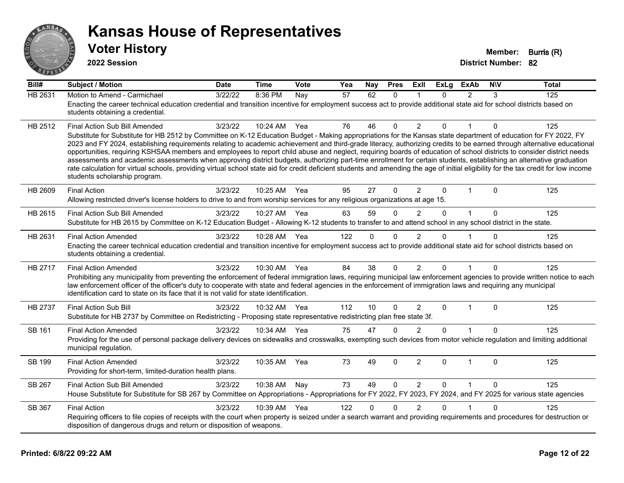

| --            |                                                                                                                                                                                                                                                                                                                                                                                                                                                                                                                                                                                                                                                                                                                                                                                                                                                                                                                                                       |             |             |      |     |              |             |                |             |                |              |              |
|---------------|-------------------------------------------------------------------------------------------------------------------------------------------------------------------------------------------------------------------------------------------------------------------------------------------------------------------------------------------------------------------------------------------------------------------------------------------------------------------------------------------------------------------------------------------------------------------------------------------------------------------------------------------------------------------------------------------------------------------------------------------------------------------------------------------------------------------------------------------------------------------------------------------------------------------------------------------------------|-------------|-------------|------|-----|--------------|-------------|----------------|-------------|----------------|--------------|--------------|
| Bill#         | <b>Subject / Motion</b>                                                                                                                                                                                                                                                                                                                                                                                                                                                                                                                                                                                                                                                                                                                                                                                                                                                                                                                               | <b>Date</b> | <b>Time</b> | Vote | Yea | Nav          | <b>Pres</b> | ExII           | ExLa        | <b>ExAb</b>    | <b>NIV</b>   | <b>Total</b> |
| HB 2631       | Motion to Amend - Carmichael<br>Enacting the career technical education credential and transition incentive for employment success act to provide additional state aid for school districts based on<br>students obtaining a credential.                                                                                                                                                                                                                                                                                                                                                                                                                                                                                                                                                                                                                                                                                                              | 3/22/22     | 8:36 PM     | Nay  | 57  | 62           | $\Omega$    |                | $\Omega$    | $\mathfrak{p}$ | 3            | 125          |
| HB 2512       | Final Action Sub Bill Amended<br>Substitute for Substitute for HB 2512 by Committee on K-12 Education Budget - Making appropriations for the Kansas state department of education for FY 2022, FY<br>2023 and FY 2024, establishing requirements relating to academic achievement and third-grade literacy, authorizing credits to be earned through alternative educational<br>opportunities, requiring KSHSAA members and employees to report child abuse and neglect, requiring boards of education of school districts to consider district needs<br>assessments and academic assessments when approving district budgets, authorizing part-time enrollment for certain students, establishing an alternative graduation<br>rate calculation for virtual schools, providing virtual school state aid for credit deficient students and amending the age of initial eligibility for the tax credit for low income<br>students scholarship program. | 3/23/22     | 10:24 AM    | Yea  | 76  | 46           | $\mathbf 0$ | $\overline{2}$ | $\Omega$    | $\mathbf 1$    | $\mathbf{0}$ | 125          |
| HB 2609       | <b>Final Action</b><br>Allowing restricted driver's license holders to drive to and from worship services for any religious organizations at age 15.                                                                                                                                                                                                                                                                                                                                                                                                                                                                                                                                                                                                                                                                                                                                                                                                  | 3/23/22     | 10:25 AM    | Yea  | 95  | 27           | 0           | $\overline{2}$ | 0           |                | 0            | 125          |
| HB 2615       | Final Action Sub Bill Amended<br>Substitute for HB 2615 by Committee on K-12 Education Budget - Allowing K-12 students to transfer to and attend school in any school district in the state.                                                                                                                                                                                                                                                                                                                                                                                                                                                                                                                                                                                                                                                                                                                                                          | 3/23/22     | 10:27 AM    | Yea  | 63  | 59           | $\Omega$    | $\mathcal{P}$  | $\Omega$    | $\mathbf 1$    | $\Omega$     | 125          |
| HB 2631       | <b>Final Action Amended</b><br>Enacting the career technical education credential and transition incentive for employment success act to provide additional state aid for school districts based on<br>students obtaining a credential.                                                                                                                                                                                                                                                                                                                                                                                                                                                                                                                                                                                                                                                                                                               | 3/23/22     | 10:28 AM    | Yea  | 122 | $\mathbf{0}$ | $\mathbf 0$ | $\overline{2}$ | $\Omega$    |                | $\Omega$     | 125          |
| HB 2717       | <b>Final Action Amended</b><br>Prohibiting any municipality from preventing the enforcement of federal immigration laws, requiring municipal law enforcement agencies to provide written notice to each<br>law enforcement officer of the officer's duty to cooperate with state and federal agencies in the enforcement of immigration laws and requiring any municipal<br>identification card to state on its face that it is not valid for state identification.                                                                                                                                                                                                                                                                                                                                                                                                                                                                                   | 3/23/22     | 10:30 AM    | Yea  | 84  | 38           | 0           | $\overline{2}$ | $\Omega$    |                | $\mathbf{0}$ | 125          |
| HB 2737       | Final Action Sub Bill<br>Substitute for HB 2737 by Committee on Redistricting - Proposing state representative redistricting plan free state 3f.                                                                                                                                                                                                                                                                                                                                                                                                                                                                                                                                                                                                                                                                                                                                                                                                      | 3/23/22     | 10:32 AM    | Yea  | 112 | 10           | $\Omega$    | $\overline{2}$ | $\Omega$    | $\mathbf 1$    | $\Omega$     | 125          |
| SB 161        | <b>Final Action Amended</b><br>Providing for the use of personal package delivery devices on sidewalks and crosswalks, exempting such devices from motor vehicle regulation and limiting additional<br>municipal regulation.                                                                                                                                                                                                                                                                                                                                                                                                                                                                                                                                                                                                                                                                                                                          | 3/23/22     | 10:34 AM    | Yea  | 75  | 47           | $\Omega$    | $\mathcal{P}$  | $\Omega$    |                | 0            | 125          |
| <b>SB 199</b> | <b>Final Action Amended</b><br>Providing for short-term, limited-duration health plans.                                                                                                                                                                                                                                                                                                                                                                                                                                                                                                                                                                                                                                                                                                                                                                                                                                                               | 3/23/22     | 10:35 AM    | Yea  | 73  | 49           | $\mathbf 0$ | $\overline{2}$ | $\Omega$    | $\mathbf{1}$   | $\mathbf{0}$ | 125          |
| SB 267        | Final Action Sub Bill Amended<br>House Substitute for Substitute for SB 267 by Committee on Appropriations - Appropriations for FY 2022, FY 2023, FY 2024, and FY 2025 for various state agencies                                                                                                                                                                                                                                                                                                                                                                                                                                                                                                                                                                                                                                                                                                                                                     | 3/23/22     | 10:38 AM    | Nay  | 73  | 49           | $\mathbf 0$ | $\overline{2}$ | $\mathbf 0$ | $\mathbf{1}$   | $\Omega$     | 125          |
| SB 367        | <b>Final Action</b><br>Requiring officers to file copies of receipts with the court when property is seized under a search warrant and providing requirements and procedures for destruction or<br>disposition of dangerous drugs and return or disposition of weapons.                                                                                                                                                                                                                                                                                                                                                                                                                                                                                                                                                                                                                                                                               | 3/23/22     | 10:39 AM    | Yea  | 122 | 0            | $\Omega$    |                | $\Omega$    |                | 0            | 125          |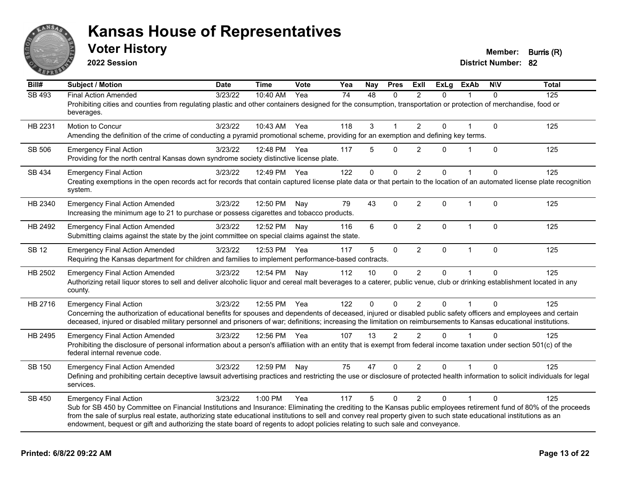

**2022 Session**

**Voter History Member: Burris (R)** 

| Bill#         | <b>Subject / Motion</b>                                                                                                                                                                                  | <b>Date</b> | <b>Time</b>  | Vote | Yea | <b>Nay</b>   | <b>Pres</b>  | ExII           | <b>ExLg</b>  | <b>ExAb</b>  | <b>NIV</b>   | <b>Total</b> |
|---------------|----------------------------------------------------------------------------------------------------------------------------------------------------------------------------------------------------------|-------------|--------------|------|-----|--------------|--------------|----------------|--------------|--------------|--------------|--------------|
| <b>SB 493</b> | <b>Final Action Amended</b>                                                                                                                                                                              | 3/23/22     | 10:40 AM     | Yea  | 74  | 48           | $\mathbf{0}$ | $\overline{2}$ | $\Omega$     |              | $\Omega$     | 125          |
|               | Prohibiting cities and counties from regulating plastic and other containers designed for the consumption, transportation or protection of merchandise, food or<br>beverages.                            |             |              |      |     |              |              |                |              |              |              |              |
| HB 2231       | Motion to Concur                                                                                                                                                                                         | 3/23/22     | 10:43 AM Yea |      | 118 | 3            |              | 2              | $\mathbf{0}$ |              | $\Omega$     | 125          |
|               | Amending the definition of the crime of conducting a pyramid promotional scheme, providing for an exemption and defining key terms.                                                                      |             |              |      |     |              |              |                |              |              |              |              |
| <b>SB 506</b> | <b>Emergency Final Action</b>                                                                                                                                                                            | 3/23/22     | 12:48 PM     | Yea  | 117 | 5            | $\Omega$     | $\overline{2}$ | $\Omega$     | $\mathbf{1}$ | $\Omega$     | 125          |
|               | Providing for the north central Kansas down syndrome society distinctive license plate.                                                                                                                  |             |              |      |     |              |              |                |              |              |              |              |
| SB 434        | <b>Emergency Final Action</b>                                                                                                                                                                            | 3/23/22     | 12:49 PM Yea |      | 122 | $\mathbf{0}$ | $\mathbf 0$  | $\overline{2}$ | $\Omega$     |              | $\Omega$     | 125          |
|               | Creating exemptions in the open records act for records that contain captured license plate data or that pertain to the location of an automated license plate recognition<br>system.                    |             |              |      |     |              |              |                |              |              |              |              |
| HB 2340       | <b>Emergency Final Action Amended</b>                                                                                                                                                                    | 3/23/22     | 12:50 PM     | Nay  | 79  | 43           | $\mathbf 0$  | $\overline{2}$ | $\mathbf 0$  | $\mathbf 1$  | $\mathbf{0}$ | 125          |
|               | Increasing the minimum age to 21 to purchase or possess cigarettes and tobacco products.                                                                                                                 |             |              |      |     |              |              |                |              |              |              |              |
| HB 2492       | <b>Emergency Final Action Amended</b>                                                                                                                                                                    | 3/23/22     | 12:52 PM     | Nay  | 116 | 6            | 0            | $\overline{2}$ | 0            | $\mathbf{1}$ | 0            | 125          |
|               | Submitting claims against the state by the joint committee on special claims against the state.                                                                                                          |             |              |      |     |              |              |                |              |              |              |              |
| <b>SB 12</b>  | <b>Emergency Final Action Amended</b>                                                                                                                                                                    | 3/23/22     | 12:53 PM     | Yea  | 117 | 5            | $\mathbf 0$  | $\overline{2}$ | 0            | $\mathbf{1}$ | $\mathbf{0}$ | 125          |
|               | Requiring the Kansas department for children and families to implement performance-based contracts.                                                                                                      |             |              |      |     |              |              |                |              |              |              |              |
| HB 2502       | <b>Emergency Final Action Amended</b>                                                                                                                                                                    | 3/23/22     | 12:54 PM     | Nay  | 112 | 10           | $\mathbf 0$  | $\overline{2}$ | $\Omega$     |              | $\Omega$     | 125          |
|               | Authorizing retail liquor stores to sell and deliver alcoholic liquor and cereal malt beverages to a caterer, public venue, club or drinking establishment located in any<br>county.                     |             |              |      |     |              |              |                |              |              |              |              |
| HB 2716       | <b>Emergency Final Action</b>                                                                                                                                                                            | 3/23/22     | 12:55 PM Yea |      | 122 | 0            | $\Omega$     | 2              | $\Omega$     |              | $\Omega$     | 125          |
|               | Concerning the authorization of educational benefits for spouses and dependents of deceased, injured or disabled public safety officers and employees and certain                                        |             |              |      |     |              |              |                |              |              |              |              |
|               | deceased, injured or disabled military personnel and prisoners of war; definitions; increasing the limitation on reimbursements to Kansas educational institutions.                                      |             |              |      |     |              |              |                |              |              |              |              |
| HB 2495       | <b>Emergency Final Action Amended</b>                                                                                                                                                                    | 3/23/22     | 12:56 PM Yea |      | 107 | 13           | 2            | 2              | $\Omega$     |              | $\Omega$     | 125          |
|               | Prohibiting the disclosure of personal information about a person's affiliation with an entity that is exempt from federal income taxation under section 501(c) of the<br>federal internal revenue code. |             |              |      |     |              |              |                |              |              |              |              |
| <b>SB 150</b> | <b>Emergency Final Action Amended</b>                                                                                                                                                                    | 3/23/22     | 12:59 PM     | Nay  | 75  | 47           | $\Omega$     | $\overline{2}$ | 0            |              | $\Omega$     | 125          |
|               | Defining and prohibiting certain deceptive lawsuit advertising practices and restricting the use or disclosure of protected health information to solicit individuals for legal<br>services.             |             |              |      |     |              |              |                |              |              |              |              |
| SB 450        | <b>Emergency Final Action</b>                                                                                                                                                                            | 3/23/22     | 1:00 PM      | Yea  | 117 | 5            | $\Omega$     | $\overline{2}$ | $\Omega$     |              | $\Omega$     | 125          |
|               | Sub for SB 450 by Committee on Financial Institutions and Insurance: Eliminating the crediting to the Kansas public employees retirement fund of 80% of the proceeds                                     |             |              |      |     |              |              |                |              |              |              |              |
|               | from the sale of surplus real estate, authorizing state educational institutions to sell and convey real property given to such state educational institutions as an                                     |             |              |      |     |              |              |                |              |              |              |              |
|               | endowment, bequest or gift and authorizing the state board of regents to adopt policies relating to such sale and conveyance.                                                                            |             |              |      |     |              |              |                |              |              |              |              |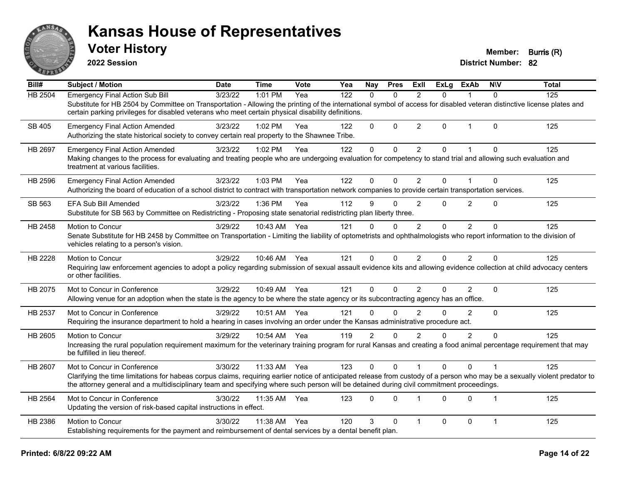

**2022 Session**

**Voter History Member: Burris (R)** 

| Bill#         | <b>Subject / Motion</b>                                                                                                                                                                                                                                                                                                  | <b>Date</b> | <b>Time</b>  | Vote | Yea | <b>Nay</b>   | <b>Pres</b>  | ExII           | <b>ExLg</b> | ExAb           | <b>NIV</b>     | <b>Total</b> |
|---------------|--------------------------------------------------------------------------------------------------------------------------------------------------------------------------------------------------------------------------------------------------------------------------------------------------------------------------|-------------|--------------|------|-----|--------------|--------------|----------------|-------------|----------------|----------------|--------------|
| HB 2504       | <b>Emergency Final Action Sub Bill</b>                                                                                                                                                                                                                                                                                   | 3/23/22     | 1:01 PM      | Yea  | 122 | $\mathbf{0}$ | $\Omega$     | 2              | 0           |                | $\mathbf{0}$   | 125          |
|               | Substitute for HB 2504 by Committee on Transportation - Allowing the printing of the international symbol of access for disabled veteran distinctive license plates and<br>certain parking privileges for disabled veterans who meet certain physical disability definitions.                                            |             |              |      |     |              |              |                |             |                |                |              |
| <b>SB 405</b> | <b>Emergency Final Action Amended</b><br>Authorizing the state historical society to convey certain real property to the Shawnee Tribe.                                                                                                                                                                                  | 3/23/22     | 1:02 PM      | Yea  | 122 | $\Omega$     | $\mathbf{0}$ | $\overline{2}$ | $\Omega$    | $\mathbf{1}$   | $\mathbf{0}$   | 125          |
| HB 2697       | <b>Emergency Final Action Amended</b>                                                                                                                                                                                                                                                                                    | 3/23/22     | 1:02 PM      | Yea  | 122 | 0            | $\mathbf 0$  | $\overline{2}$ | $\Omega$    | 1              | $\Omega$       | 125          |
|               | Making changes to the process for evaluating and treating people who are undergoing evaluation for competency to stand trial and allowing such evaluation and<br>treatment at various facilities.                                                                                                                        |             |              |      |     |              |              |                |             |                |                |              |
| HB 2596       | <b>Emergency Final Action Amended</b>                                                                                                                                                                                                                                                                                    | 3/23/22     | 1:03 PM      | Yea  | 122 | $\Omega$     | $\Omega$     | 2              | $\Omega$    | 1              | $\Omega$       | 125          |
|               | Authorizing the board of education of a school district to contract with transportation network companies to provide certain transportation services.                                                                                                                                                                    |             |              |      |     |              |              |                |             |                |                |              |
| SB 563        | EFA Sub Bill Amended                                                                                                                                                                                                                                                                                                     | 3/23/22     | 1:36 PM      | Yea  | 112 | 9            | $\Omega$     | $\overline{2}$ | $\Omega$    | $\overline{2}$ | $\Omega$       | 125          |
|               | Substitute for SB 563 by Committee on Redistricting - Proposing state senatorial redistricting plan liberty three.                                                                                                                                                                                                       |             |              |      |     |              |              |                |             |                |                |              |
| HB 2458       | Motion to Concur                                                                                                                                                                                                                                                                                                         | 3/29/22     | 10:43 AM     | Yea  | 121 | $\Omega$     | $\mathbf{0}$ | $\overline{2}$ | 0           | $\overline{2}$ | $\Omega$       | 125          |
|               | Senate Substitute for HB 2458 by Committee on Transportation - Limiting the liability of optometrists and ophthalmologists who report information to the division of<br>vehicles relating to a person's vision.                                                                                                          |             |              |      |     |              |              |                |             |                |                |              |
| HB 2228       | Motion to Concur                                                                                                                                                                                                                                                                                                         | 3/29/22     | 10:46 AM Yea |      | 121 | $\Omega$     | $\Omega$     | $\overline{2}$ | $\Omega$    | $\overline{2}$ | $\Omega$       | 125          |
|               | Requiring law enforcement agencies to adopt a policy regarding submission of sexual assault evidence kits and allowing evidence collection at child advocacy centers<br>or other facilities.                                                                                                                             |             |              |      |     |              |              |                |             |                |                |              |
| HB 2075       | Mot to Concur in Conference                                                                                                                                                                                                                                                                                              | 3/29/22     | 10:49 AM     | Yea  | 121 | $\mathbf 0$  | $\Omega$     | $\overline{2}$ | $\Omega$    | $\overline{2}$ | $\mathbf 0$    | 125          |
|               | Allowing venue for an adoption when the state is the agency to be where the state agency or its subcontracting agency has an office.                                                                                                                                                                                     |             |              |      |     |              |              |                |             |                |                |              |
| HB 2537       | Mot to Concur in Conference                                                                                                                                                                                                                                                                                              | 3/29/22     | 10:51 AM     | Yea  | 121 | $\Omega$     | $\Omega$     | 2              | $\Omega$    | 2              | $\mathbf 0$    | 125          |
|               | Requiring the insurance department to hold a hearing in cases involving an order under the Kansas administrative procedure act.                                                                                                                                                                                          |             |              |      |     |              |              |                |             |                |                |              |
| HB 2605       | Motion to Concur                                                                                                                                                                                                                                                                                                         | 3/29/22     | 10:54 AM     | Yea  | 119 | 2            | $\Omega$     | $\overline{2}$ | $\Omega$    | $\overline{2}$ | $\Omega$       | 125          |
|               | Increasing the rural population requirement maximum for the veterinary training program for rural Kansas and creating a food animal percentage requirement that may<br>be fulfilled in lieu thereof.                                                                                                                     |             |              |      |     |              |              |                |             |                |                |              |
| HB 2607       | Mot to Concur in Conference                                                                                                                                                                                                                                                                                              | 3/30/22     | 11:33 AM     | Yea  | 123 | $\Omega$     | $\Omega$     |                | $\Omega$    | $\Omega$       |                | 125          |
|               | Clarifying the time limitations for habeas corpus claims, requiring earlier notice of anticipated release from custody of a person who may be a sexually violent predator to<br>the attorney general and a multidisciplinary team and specifying where such person will be detained during civil commitment proceedings. |             |              |      |     |              |              |                |             |                |                |              |
| HB 2564       | Mot to Concur in Conference                                                                                                                                                                                                                                                                                              | 3/30/22     | 11:35 AM     | Yea  | 123 | $\Omega$     | $\Omega$     | $\overline{1}$ | $\Omega$    | $\Omega$       | $\overline{1}$ | 125          |
|               | Updating the version of risk-based capital instructions in effect.                                                                                                                                                                                                                                                       |             |              |      |     |              |              |                |             |                |                |              |
| HB 2386       | Motion to Concur                                                                                                                                                                                                                                                                                                         | 3/30/22     | 11:38 AM     | Yea  | 120 | 3            | $\Omega$     | 1              | $\Omega$    | 0              | $\mathbf{1}$   | 125          |
|               | Establishing requirements for the payment and reimbursement of dental services by a dental benefit plan.                                                                                                                                                                                                                 |             |              |      |     |              |              |                |             |                |                |              |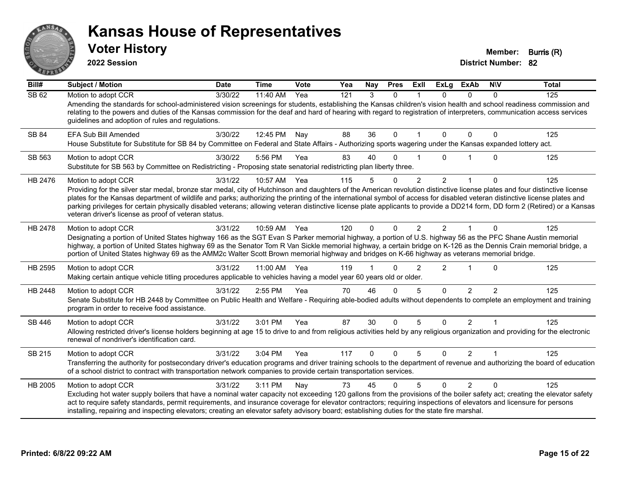

**2022 Session**

**Voter History Member: Burris (R)** 

| Bill#   | Subject / Motion                                                                                                                                                                                                                                                                                                                                                                                                                                                                                                                                                                                                        | <b>Date</b> | <b>Time</b> | Vote | Yea | Nay          | <b>Pres</b>  | ExII           | <b>ExLg</b>    | <b>ExAb</b>    | <b>NIV</b>    | <b>Total</b> |
|---------|-------------------------------------------------------------------------------------------------------------------------------------------------------------------------------------------------------------------------------------------------------------------------------------------------------------------------------------------------------------------------------------------------------------------------------------------------------------------------------------------------------------------------------------------------------------------------------------------------------------------------|-------------|-------------|------|-----|--------------|--------------|----------------|----------------|----------------|---------------|--------------|
| SB62    | Motion to adopt CCR<br>Amending the standards for school-administered vision screenings for students, establishing the Kansas children's vision health and school readiness commission and<br>relating to the powers and duties of the Kansas commission for the deaf and hard of hearing with regard to registration of interpreters, communication access services<br>guidelines and adoption of rules and regulations.                                                                                                                                                                                               | 3/30/22     | 11:40 AM    | Yea  | 121 | 3            | $\Omega$     |                | $\Omega$       | $\mathbf{0}$   | $\Omega$      | 125          |
| SB 84   | EFA Sub Bill Amended<br>House Substitute for Substitute for SB 84 by Committee on Federal and State Affairs - Authorizing sports wagering under the Kansas expanded lottery act.                                                                                                                                                                                                                                                                                                                                                                                                                                        | 3/30/22     | 12:45 PM    | Nay  | 88  | 36           | 0            |                | $\Omega$       | $\Omega$       | 0             | 125          |
| SB 563  | Motion to adopt CCR<br>Substitute for SB 563 by Committee on Redistricting - Proposing state senatorial redistricting plan liberty three.                                                                                                                                                                                                                                                                                                                                                                                                                                                                               | 3/30/22     | 5:56 PM     | Yea  | 83  | 40           | O            |                | U.             |                | $\Omega$      | 125          |
| HB 2476 | Motion to adopt CCR<br>Providing for the silver star medal, bronze star medal, city of Hutchinson and daughters of the American revolution distinctive license plates and four distinctive license<br>plates for the Kansas department of wildlife and parks; authorizing the printing of the international symbol of access for disabled veteran distinctive license plates and<br>parking privileges for certain physically disabled veterans; allowing veteran distinctive license plate applicants to provide a DD214 form, DD form 2 (Retired) or a Kansas<br>veteran driver's license as proof of veteran status. | 3/31/22     | 10:57 AM    | Yea  | 115 | 5            | $\Omega$     | $\overline{2}$ | $\overline{2}$ |                | $\mathbf 0$   | 125          |
| HB 2478 | Motion to adopt CCR<br>Designating a portion of United States highway 166 as the SGT Evan S Parker memorial highway, a portion of U.S. highway 56 as the PFC Shane Austin memorial<br>highway, a portion of United States highway 69 as the Senator Tom R Van Sickle memorial highway, a certain bridge on K-126 as the Dennis Crain memorial bridge, a<br>portion of United States highway 69 as the AMM2c Walter Scott Brown memorial highway and bridges on K-66 highway as veterans memorial bridge.                                                                                                                | 3/31/22     | 10:59 AM    | Yea  | 120 | $\Omega$     | $\Omega$     | 2              | $\mathcal{P}$  | $\overline{1}$ | $\Omega$      | 125          |
| HB 2595 | Motion to adopt CCR<br>Making certain antique vehicle titling procedures applicable to vehicles having a model year 60 years old or older.                                                                                                                                                                                                                                                                                                                                                                                                                                                                              | 3/31/22     | 11:00 AM    | Yea  | 119 |              | 0            | $\overline{2}$ | $\overline{c}$ |                | $\Omega$      | 125          |
| HB 2448 | Motion to adopt CCR<br>Senate Substitute for HB 2448 by Committee on Public Health and Welfare - Requiring able-bodied adults without dependents to complete an employment and training<br>program in order to receive food assistance.                                                                                                                                                                                                                                                                                                                                                                                 | 3/31/22     | 2:55 PM     | Yea  | 70  | 46           | $\Omega$     | 5              | $\Omega$       | $\mathcal{P}$  | $\mathcal{P}$ | 125          |
| SB 446  | Motion to adopt CCR<br>Allowing restricted driver's license holders beginning at age 15 to drive to and from religious activities held by any religious organization and providing for the electronic<br>renewal of nondriver's identification card.                                                                                                                                                                                                                                                                                                                                                                    | 3/31/22     | 3:01 PM     | Yea  | 87  | 30           | $\Omega$     | 5              | $\Omega$       | $\overline{2}$ | 1             | 125          |
| SB 215  | Motion to adopt CCR<br>Transferring the authority for postsecondary driver's education programs and driver training schools to the department of revenue and authorizing the board of education<br>of a school district to contract with transportation network companies to provide certain transportation services.                                                                                                                                                                                                                                                                                                   | 3/31/22     | 3:04 PM     | Yea  | 117 | $\mathbf{0}$ | $\mathbf{0}$ | 5              | $\Omega$       | $\overline{2}$ | $\mathbf 1$   | 125          |
| HB 2005 | Motion to adopt CCR<br>Excluding hot water supply boilers that have a nominal water capacity not exceeding 120 gallons from the provisions of the boiler safety act; creating the elevator safety<br>act to require safety standards, permit requirements, and insurance coverage for elevator contractors; requiring inspections of elevators and licensure for persons<br>installing, repairing and inspecting elevators; creating an elevator safety advisory board; establishing duties for the state fire marshal.                                                                                                 | 3/31/22     | 3:11 PM     | Nay  | 73  | 45           | $\Omega$     | 5              | $\Omega$       | 2              | $\Omega$      | 125          |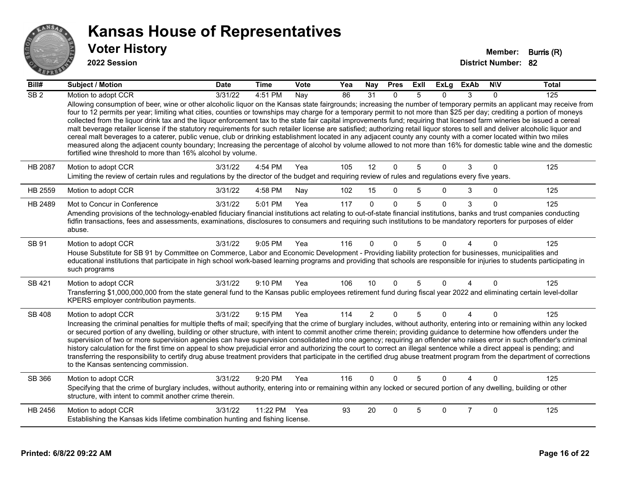

| Bill#           | <b>Subject / Motion</b>                                                                                                                                                                                                                                                                                                                                                                                                                                                                                                                                                                                                                                                                                                                                                                                                                                                                                                                                                                                                                                                                                                                          | <b>Date</b> | <b>Time</b> | Vote | Yea | Nay            | <b>Pres</b>  | <b>ExII</b> | <b>ExLg</b> | <b>ExAb</b>    | <b>NIV</b>   | <b>Total</b> |
|-----------------|--------------------------------------------------------------------------------------------------------------------------------------------------------------------------------------------------------------------------------------------------------------------------------------------------------------------------------------------------------------------------------------------------------------------------------------------------------------------------------------------------------------------------------------------------------------------------------------------------------------------------------------------------------------------------------------------------------------------------------------------------------------------------------------------------------------------------------------------------------------------------------------------------------------------------------------------------------------------------------------------------------------------------------------------------------------------------------------------------------------------------------------------------|-------------|-------------|------|-----|----------------|--------------|-------------|-------------|----------------|--------------|--------------|
| SB <sub>2</sub> | Motion to adopt CCR<br>Allowing consumption of beer, wine or other alcoholic liquor on the Kansas state fairgrounds; increasing the number of temporary permits an applicant may receive from<br>four to 12 permits per year; limiting what cities, counties or townships may charge for a temporary permit to not more than \$25 per day; crediting a portion of moneys<br>collected from the liquor drink tax and the liquor enforcement tax to the state fair capital improvements fund; requiring that licensed farm wineries be issued a cereal<br>malt beverage retailer license if the statutory requirements for such retailer license are satisfied; authorizing retail liquor stores to sell and deliver alcoholic liquor and<br>cereal malt beverages to a caterer, public venue, club or drinking establishment located in any adjacent county any county with a comer located within two miles<br>measured along the adjacent county boundary; Increasing the percentage of alcohol by volume allowed to not more than 16% for domestic table wine and the domestic<br>fortified wine threshold to more than 16% alcohol by volume. | 3/31/22     | 4:51 PM     | Nay  | 86  | 31             | $\mathbf{0}$ | 5           | 0           | 3              | $\Omega$     | 125          |
| <b>HB 2087</b>  | Motion to adopt CCR<br>Limiting the review of certain rules and regulations by the director of the budget and requiring review of rules and regulations every five years.                                                                                                                                                                                                                                                                                                                                                                                                                                                                                                                                                                                                                                                                                                                                                                                                                                                                                                                                                                        | 3/31/22     | 4:54 PM     | Yea  | 105 | 12             | $\mathbf{0}$ | 5           | $\Omega$    | 3              | $\Omega$     | 125          |
| HB 2559         | Motion to adopt CCR                                                                                                                                                                                                                                                                                                                                                                                                                                                                                                                                                                                                                                                                                                                                                                                                                                                                                                                                                                                                                                                                                                                              | 3/31/22     | 4:58 PM     | Nay  | 102 | 15             | $\mathbf 0$  | 5           | $\Omega$    | 3              | $\mathbf 0$  | 125          |
| HB 2489         | Mot to Concur in Conference<br>Amending provisions of the technology-enabled fiduciary financial institutions act relating to out-of-state financial institutions, banks and trust companies conducting<br>fidfin transactions, fees and assessments, examinations, disclosures to consumers and requiring such institutions to be mandatory reporters for purposes of elder<br>abuse.                                                                                                                                                                                                                                                                                                                                                                                                                                                                                                                                                                                                                                                                                                                                                           | 3/31/22     | 5:01 PM     | Yea  | 117 | $\Omega$       | $\Omega$     | 5           | $\Omega$    | 3              | $\Omega$     | 125          |
| SB 91           | Motion to adopt CCR<br>House Substitute for SB 91 by Committee on Commerce, Labor and Economic Development - Providing liability protection for businesses, municipalities and<br>educational institutions that participate in high school work-based learning programs and providing that schools are responsible for injuries to students participating in<br>such programs                                                                                                                                                                                                                                                                                                                                                                                                                                                                                                                                                                                                                                                                                                                                                                    | 3/31/22     | 9:05 PM     | Yea  | 116 | $\Omega$       | $\Omega$     | 5           | 0           |                | $\Omega$     | 125          |
| SB 421          | Motion to adopt CCR<br>Transferring \$1,000,000,000 from the state general fund to the Kansas public employees retirement fund during fiscal year 2022 and eliminating certain level-dollar<br>KPERS employer contribution payments.                                                                                                                                                                                                                                                                                                                                                                                                                                                                                                                                                                                                                                                                                                                                                                                                                                                                                                             | 3/31/22     | 9:10 PM     | Yea  | 106 | 10             | $\Omega$     | 5           | $\Omega$    | 4              | $\mathbf{0}$ | 125          |
| <b>SB 408</b>   | Motion to adopt CCR<br>Increasing the criminal penalties for multiple thefts of mail; specifying that the crime of burglary includes, without authority, entering into or remaining within any locked<br>or secured portion of any dwelling, building or other structure, with intent to commit another crime therein; providing guidance to determine how offenders under the<br>supervision of two or more supervision agencies can have supervision consolidated into one agency; requiring an offender who raises error in such offender's criminal<br>history calculation for the first time on appeal to show prejudicial error and authorizing the court to correct an illegal sentence while a direct appeal is pending; and<br>transferring the responsibility to certify drug abuse treatment providers that participate in the certified drug abuse treatment program from the department of corrections<br>to the Kansas sentencing commission.                                                                                                                                                                                      | 3/31/22     | 9:15 PM     | Yea  | 114 | $\overline{2}$ | $\mathbf{0}$ | 5           | $\Omega$    | 4              | $\Omega$     | 125          |
| SB 366          | Motion to adopt CCR<br>Specifying that the crime of burglary includes, without authority, entering into or remaining within any locked or secured portion of any dwelling, building or other<br>structure, with intent to commit another crime therein.                                                                                                                                                                                                                                                                                                                                                                                                                                                                                                                                                                                                                                                                                                                                                                                                                                                                                          | 3/31/22     | $9:20$ PM   | Yea  | 116 | $\Omega$       | $\Omega$     | 5           | $\Omega$    |                | $\Omega$     | 125          |
| HB 2456         | Motion to adopt CCR<br>Establishing the Kansas kids lifetime combination hunting and fishing license.                                                                                                                                                                                                                                                                                                                                                                                                                                                                                                                                                                                                                                                                                                                                                                                                                                                                                                                                                                                                                                            | 3/31/22     | 11:22 PM    | Yea  | 93  | 20             | $\Omega$     | 5           | 0           | $\overline{7}$ | $\Omega$     | 125          |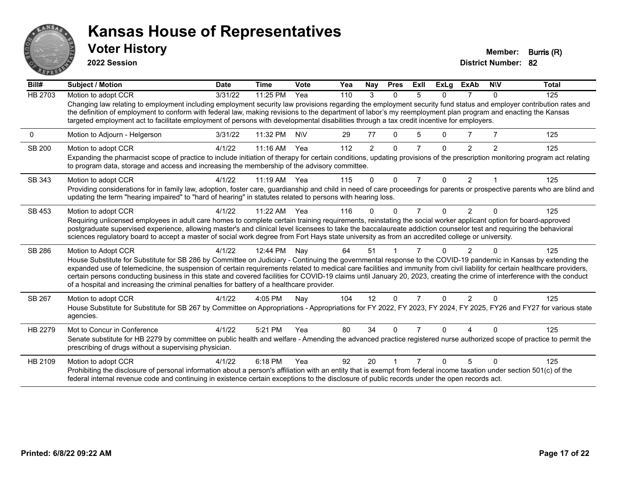

**2022 Session**

**District Number: 82 Voter History Member: Burris (R)** 

**Bill# Subject / Motion Date Time Vote Yea Nay Pres Exll ExLg ExAb N\V Total** HB 2703 Motion to adopt CCR 3/31/22 11:25 PM Yea 110 3 0 5 0 7 0 125 Changing law relating to employment including employment security law provisions regarding the employment security fund status and employer contribution rates and the definition of employment to conform with federal law, making revisions to the department of labor's my reemployment plan program and enacting the Kansas targeted employment act to facilitate employment of persons with developmental disabilities through a tax credit incentive for employers. 0 Motion to Adjourn - Helgerson 3/31/22 11:32 PM N\V 29 77 0 5 0 7 7 125 SB 200 Motion to adopt CCR 4/1/22 11:16 AM Yea 112 2 0 7 0 2 2 125 Expanding the pharmacist scope of practice to include initiation of therapy for certain conditions, updating provisions of the prescription monitoring program act relating to program data, storage and access and increasing the membership of the advisory committee. SB 343 Motion to adopt CCR 4/1/22 11:19 AM Yea 115 0 0 7 0 2 1 125 Providing considerations for in family law, adoption, foster care, guardianship and child in need of care proceedings for parents or prospective parents who are blind and updating the term "hearing impaired" to "hard of hearing" in statutes related to persons with hearing loss. SB 453 Motion to adopt CCR 4/1/22 11:22 AM Yea 116 0 0 7 0 2 0 125 Requiring unlicensed employees in adult care homes to complete certain training requirements, reinstating the social worker applicant option for board-approved postgraduate supervised experience, allowing master's and clinical level licensees to take the baccalaureate addiction counselor test and requiring the behavioral sciences regulatory board to accept a master of social work degree from Fort Hays state university as from an accredited college or university. SB 286 Motion to Adopt CCR 4/1/22 12:44 PM Nay 64 51 1 7 0 2 0 125 House Substitute for Substitute for SB 286 by Committee on Judiciary - Continuing the governmental response to the COVID-19 pandemic in Kansas by extending the expanded use of telemedicine, the suspension of certain requirements related to medical care facilities and immunity from civil liability for certain healthcare providers, certain persons conducting business in this state and covered facilities for COVID-19 claims until January 20, 2023, creating the crime of interference with the conduct of a hospital and increasing the criminal penalties for battery of a healthcare provider. SB 267 Motion to adopt CCR 4/1/22 4:05 PM Nay 104 12 0 7 0 2 0 125 House Substitute for Substitute for SB 267 by Committee on Appropriations - Appropriations for FY 2022, FY 2023, FY 2024, FY 2025, FY26 and FY27 for various state agencies. HB 2279 Mot to Concur in Conference  $\frac{4}{1/22}$  5:21 PM Yea 80 34 0 7 0 4 0 125 Senate substitute for HB 2279 by committee on public health and welfare - Amending the advanced practice registered nurse authorized scope of practice to permit the prescribing of drugs without a supervising physician. HB 2109 Motion to adopt CCR 4/1/22 6:18 PM Yea 92 20 1 7 0 5 0 125 Prohibiting the disclosure of personal information about a person's affiliation with an entity that is exempt from federal income taxation under section 501(c) of the federal internal revenue code and continuing in existence certain exceptions to the disclosure of public records under the open records act.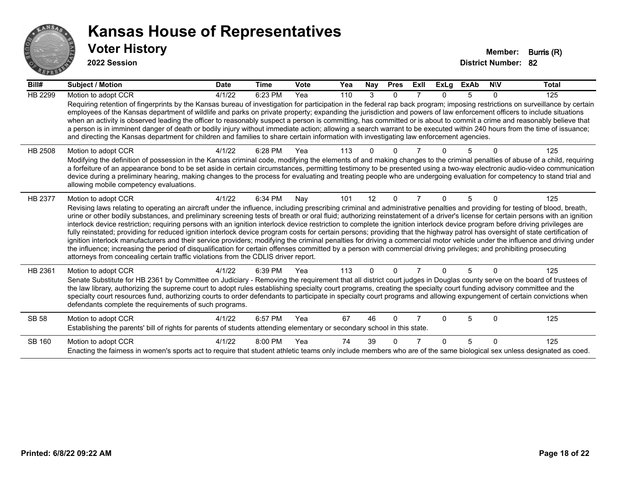

| Bill#        | <b>Subject / Motion</b>                                                                                                                                                                                                                                                                                                                                                                                                                                                                                                                                                                                                                                                                                                                                                                                                                                                                                                                                                                                                                                                                                                                                                                               | <b>Date</b> | <b>Time</b> | Vote | Yea | Nay      | <b>Pres</b> | ExII | <b>ExLg</b> | <b>ExAb</b> | <b>NIV</b> | <b>Total</b> |
|--------------|-------------------------------------------------------------------------------------------------------------------------------------------------------------------------------------------------------------------------------------------------------------------------------------------------------------------------------------------------------------------------------------------------------------------------------------------------------------------------------------------------------------------------------------------------------------------------------------------------------------------------------------------------------------------------------------------------------------------------------------------------------------------------------------------------------------------------------------------------------------------------------------------------------------------------------------------------------------------------------------------------------------------------------------------------------------------------------------------------------------------------------------------------------------------------------------------------------|-------------|-------------|------|-----|----------|-------------|------|-------------|-------------|------------|--------------|
| HB 2299      | Motion to adopt CCR                                                                                                                                                                                                                                                                                                                                                                                                                                                                                                                                                                                                                                                                                                                                                                                                                                                                                                                                                                                                                                                                                                                                                                                   | 4/1/22      | 6:23 PM     | Yea  | 110 | 3        | $\Omega$    |      | 0           | 5           | $\Omega$   | 125          |
|              | Requiring retention of fingerprints by the Kansas bureau of investigation for participation in the federal rap back program; imposing restrictions on surveillance by certain<br>employees of the Kansas department of wildlife and parks on private property; expanding the jurisdiction and powers of law enforcement officers to include situations<br>when an activity is observed leading the officer to reasonably suspect a person is committing, has committed or is about to commit a crime and reasonably believe that<br>a person is in imminent danger of death or bodily injury without immediate action; allowing a search warrant to be executed within 240 hours from the time of issuance;<br>and directing the Kansas department for children and families to share certain information with investigating law enforcement agencies.                                                                                                                                                                                                                                                                                                                                                |             |             |      |     |          |             |      |             |             |            |              |
| HB 2508      | Motion to adopt CCR<br>Modifying the definition of possession in the Kansas criminal code, modifying the elements of and making changes to the criminal penalties of abuse of a child, requiring<br>a forfeiture of an appearance bond to be set aside in certain circumstances, permitting testimony to be presented using a two-way electronic audio-video communication<br>device during a preliminary hearing, making changes to the process for evaluating and treating people who are undergoing evaluation for competency to stand trial and<br>allowing mobile competency evaluations.                                                                                                                                                                                                                                                                                                                                                                                                                                                                                                                                                                                                        | 4/1/22      | 6:28 PM     | Yea  | 113 |          |             |      |             |             |            | 125          |
| HB 2377      | Motion to adopt CCR<br>Revising laws relating to operating an aircraft under the influence, including prescribing criminal and administrative penalties and providing for testing of blood, breath,<br>urine or other bodily substances, and preliminary screening tests of breath or oral fluid; authorizing reinstatement of a driver's license for certain persons with an ignition<br>interlock device restriction; requiring persons with an ignition interlock device restriction to complete the ignition interlock device program before driving privileges are<br>fully reinstated; providing for reduced ignition interlock device program costs for certain persons; providing that the highway patrol has oversight of state certification of<br>ignition interlock manufacturers and their service providers; modifying the criminal penalties for driving a commercial motor vehicle under the influence and driving under<br>the influence; increasing the period of disqualification for certain offenses committed by a person with commercial driving privileges; and prohibiting prosecuting<br>attorneys from concealing certain traffic violations from the CDLIS driver report. | 4/1/22      | 6:34 PM     | Nay  | 101 | 12       | $\Omega$    |      | 0           | 5           | $\Omega$   | 125          |
| HB 2361      | Motion to adopt CCR<br>Senate Substitute for HB 2361 by Committee on Judiciary - Removing the requirement that all district court judges in Douglas county serve on the board of trustees of<br>the law library, authorizing the supreme court to adopt rules establishing specialty court programs, creating the specialty court funding advisory committee and the<br>specialty court resources fund, authorizing courts to order defendants to participate in specialty court programs and allowing expungement of certain convictions when<br>defendants complete the requirements of such programs.                                                                                                                                                                                                                                                                                                                                                                                                                                                                                                                                                                                              | 4/1/22      | 6:39 PM     | Yea  | 113 | $\Omega$ | $\Omega$    |      | 0           | 5           | $\Omega$   | 125          |
| <b>SB 58</b> | Motion to adopt CCR<br>Establishing the parents' bill of rights for parents of students attending elementary or secondary school in this state.                                                                                                                                                                                                                                                                                                                                                                                                                                                                                                                                                                                                                                                                                                                                                                                                                                                                                                                                                                                                                                                       | 4/1/22      | 6:57 PM     | Yea  | 67  | 46       | $\Omega$    |      | U           | 5           | $\Omega$   | 125          |
| SB 160       | Motion to adopt CCR<br>Enacting the fairness in women's sports act to require that student athletic teams only include members who are of the same biological sex unless designated as coed.                                                                                                                                                                                                                                                                                                                                                                                                                                                                                                                                                                                                                                                                                                                                                                                                                                                                                                                                                                                                          | 4/1/22      | 8:00 PM     | Yea  | 74  | 39       |             |      | U           | 5           | $\Omega$   | 125          |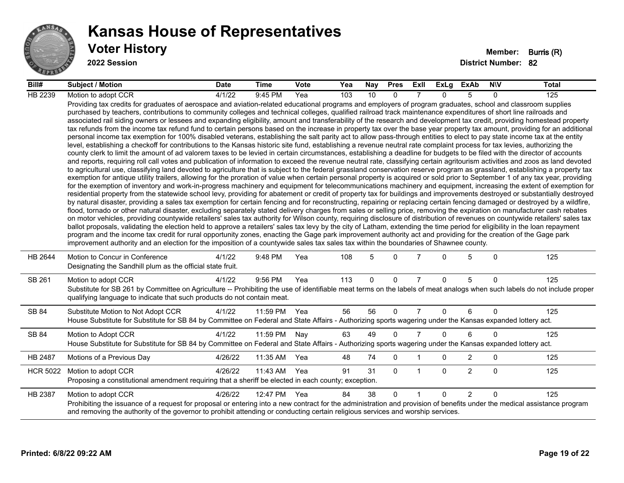

| Bill#           | <b>Subject / Motion</b>                                                                                                                                                                                                                                                                                                                                                                                                                                                                                                                                                                                                                                                                                                                                                                                                                                                                                                                                                                                                                                                                                                                                                                                                                                                                                                                                                                                                                                                                                                                                                                                                                                                                                                                                                                                                                                                                                                                                                                                                                                                                                                                                                                                                                                                                                                                                                                                                                                                                                                                                                                                                                                                                                                                                                                                                                                                                                                                                                                                                                                                                                                                                                     | <b>Date</b> | Time     | <b>Vote</b> | Yea | Nay      | <b>Pres</b> | ExII           | ExLg     | ExAb           | <b>NIV</b>   | Total |
|-----------------|-----------------------------------------------------------------------------------------------------------------------------------------------------------------------------------------------------------------------------------------------------------------------------------------------------------------------------------------------------------------------------------------------------------------------------------------------------------------------------------------------------------------------------------------------------------------------------------------------------------------------------------------------------------------------------------------------------------------------------------------------------------------------------------------------------------------------------------------------------------------------------------------------------------------------------------------------------------------------------------------------------------------------------------------------------------------------------------------------------------------------------------------------------------------------------------------------------------------------------------------------------------------------------------------------------------------------------------------------------------------------------------------------------------------------------------------------------------------------------------------------------------------------------------------------------------------------------------------------------------------------------------------------------------------------------------------------------------------------------------------------------------------------------------------------------------------------------------------------------------------------------------------------------------------------------------------------------------------------------------------------------------------------------------------------------------------------------------------------------------------------------------------------------------------------------------------------------------------------------------------------------------------------------------------------------------------------------------------------------------------------------------------------------------------------------------------------------------------------------------------------------------------------------------------------------------------------------------------------------------------------------------------------------------------------------------------------------------------------------------------------------------------------------------------------------------------------------------------------------------------------------------------------------------------------------------------------------------------------------------------------------------------------------------------------------------------------------------------------------------------------------------------------------------------------------|-------------|----------|-------------|-----|----------|-------------|----------------|----------|----------------|--------------|-------|
| HB 2239         | Motion to adopt CCR                                                                                                                                                                                                                                                                                                                                                                                                                                                                                                                                                                                                                                                                                                                                                                                                                                                                                                                                                                                                                                                                                                                                                                                                                                                                                                                                                                                                                                                                                                                                                                                                                                                                                                                                                                                                                                                                                                                                                                                                                                                                                                                                                                                                                                                                                                                                                                                                                                                                                                                                                                                                                                                                                                                                                                                                                                                                                                                                                                                                                                                                                                                                                         | 4/1/22      | 9:45 PM  | Yea         | 103 | 10       | $\Omega$    |                | $\Omega$ | 5              | $\Omega$     | 125   |
|                 | Providing tax credits for graduates of aerospace and aviation-related educational programs and employers of program graduates, school and classroom supplies<br>purchased by teachers, contributions to community colleges and technical colleges, qualified railroad track maintenance expenditures of short line railroads and<br>associated rail siding owners or lessees and expanding eligibility, amount and transferability of the research and development tax credit, providing homestead property<br>tax refunds from the income tax refund fund to certain persons based on the increase in property tax over the base year property tax amount, providing for an additional<br>personal income tax exemption for 100% disabled veterans, establishing the salt parity act to allow pass-through entities to elect to pay state income tax at the entity<br>level, establishing a checkoff for contributions to the Kansas historic site fund, establishing a revenue neutral rate complaint process for tax levies, authorizing the<br>county clerk to limit the amount of ad valorem taxes to be levied in certain circumstances, establishing a deadline for budgets to be filed with the director of accounts<br>and reports, requiring roll call votes and publication of information to exceed the revenue neutral rate, classifying certain agritourism activities and zoos as land devoted<br>to agricultural use, classifying land devoted to agriculture that is subject to the federal grassland conservation reserve program as grassland, establishing a property tax<br>exemption for antique utility trailers, allowing for the proration of value when certain personal property is acquired or sold prior to September 1 of any tax year, providing<br>for the exemption of inventory and work-in-progress machinery and equipment for telecommunications machinery and equipment, increasing the extent of exemption for<br>residential property from the statewide school levy, providing for abatement or credit of property tax for buildings and improvements destroyed or substantially destroyed<br>by natural disaster, providing a sales tax exemption for certain fencing and for reconstructing, repairing or replacing certain fencing damaged or destroyed by a wildfire,<br>flood, tornado or other natural disaster, excluding separately stated delivery charges from sales or selling price, removing the expiration on manufacturer cash rebates<br>on motor vehicles, providing countywide retailers' sales tax authority for Wilson county, requiring disclosure of distribution of revenues on countywide retailers' sales tax<br>ballot proposals, validating the election held to approve a retailers' sales tax levy by the city of Latham, extending the time period for eligibility in the loan repayment<br>program and the income tax credit for rural opportunity zones, enacting the Gage park improvement authority act and providing for the creation of the Gage park<br>improvement authority and an election for the imposition of a countywide sales tax sales tax within the boundaries of Shawnee county. |             |          |             |     |          |             |                |          |                |              |       |
| HB 2644         | Motion to Concur in Conference<br>Designating the Sandhill plum as the official state fruit.                                                                                                                                                                                                                                                                                                                                                                                                                                                                                                                                                                                                                                                                                                                                                                                                                                                                                                                                                                                                                                                                                                                                                                                                                                                                                                                                                                                                                                                                                                                                                                                                                                                                                                                                                                                                                                                                                                                                                                                                                                                                                                                                                                                                                                                                                                                                                                                                                                                                                                                                                                                                                                                                                                                                                                                                                                                                                                                                                                                                                                                                                | 4/1/22      | 9:48 PM  | Yea         | 108 | 5        | $\Omega$    |                | 0        | 5              | $\mathbf{0}$ | 125   |
| SB 261          | Motion to adopt CCR<br>Substitute for SB 261 by Committee on Agriculture -- Prohibiting the use of identifiable meat terms on the labels of meat analogs when such labels do not include proper<br>qualifying language to indicate that such products do not contain meat.                                                                                                                                                                                                                                                                                                                                                                                                                                                                                                                                                                                                                                                                                                                                                                                                                                                                                                                                                                                                                                                                                                                                                                                                                                                                                                                                                                                                                                                                                                                                                                                                                                                                                                                                                                                                                                                                                                                                                                                                                                                                                                                                                                                                                                                                                                                                                                                                                                                                                                                                                                                                                                                                                                                                                                                                                                                                                                  | 4/1/22      | 9:56 PM  | Yea         | 113 | $\Omega$ | $\Omega$    | $\overline{7}$ | $\Omega$ | 5              | $\mathbf{0}$ | 125   |
| SB 84           | Substitute Motion to Not Adopt CCR<br>House Substitute for Substitute for SB 84 by Committee on Federal and State Affairs - Authorizing sports wagering under the Kansas expanded lottery act.                                                                                                                                                                                                                                                                                                                                                                                                                                                                                                                                                                                                                                                                                                                                                                                                                                                                                                                                                                                                                                                                                                                                                                                                                                                                                                                                                                                                                                                                                                                                                                                                                                                                                                                                                                                                                                                                                                                                                                                                                                                                                                                                                                                                                                                                                                                                                                                                                                                                                                                                                                                                                                                                                                                                                                                                                                                                                                                                                                              | 4/1/22      | 11:59 PM | Yea         | 56  | 56       | $\Omega$    | $\overline{7}$ | $\Omega$ | 6              | $\Omega$     | 125   |
| SB 84           | Motion to Adopt CCR<br>House Substitute for Substitute for SB 84 by Committee on Federal and State Affairs - Authorizing sports wagering under the Kansas expanded lottery act.                                                                                                                                                                                                                                                                                                                                                                                                                                                                                                                                                                                                                                                                                                                                                                                                                                                                                                                                                                                                                                                                                                                                                                                                                                                                                                                                                                                                                                                                                                                                                                                                                                                                                                                                                                                                                                                                                                                                                                                                                                                                                                                                                                                                                                                                                                                                                                                                                                                                                                                                                                                                                                                                                                                                                                                                                                                                                                                                                                                             | 4/1/22      | 11:59 PM | Nay         | 63  | 49       | $\Omega$    | $\overline{7}$ | $\Omega$ | 6              | $\Omega$     | 125   |
| HB 2487         | Motions of a Previous Day                                                                                                                                                                                                                                                                                                                                                                                                                                                                                                                                                                                                                                                                                                                                                                                                                                                                                                                                                                                                                                                                                                                                                                                                                                                                                                                                                                                                                                                                                                                                                                                                                                                                                                                                                                                                                                                                                                                                                                                                                                                                                                                                                                                                                                                                                                                                                                                                                                                                                                                                                                                                                                                                                                                                                                                                                                                                                                                                                                                                                                                                                                                                                   | 4/26/22     | 11:35 AM | Yea         | 48  | 74       | 0           |                | 0        | $\overline{2}$ | $\mathbf 0$  | 125   |
| <b>HCR 5022</b> | Motion to adopt CCR<br>Proposing a constitutional amendment requiring that a sheriff be elected in each county; exception.                                                                                                                                                                                                                                                                                                                                                                                                                                                                                                                                                                                                                                                                                                                                                                                                                                                                                                                                                                                                                                                                                                                                                                                                                                                                                                                                                                                                                                                                                                                                                                                                                                                                                                                                                                                                                                                                                                                                                                                                                                                                                                                                                                                                                                                                                                                                                                                                                                                                                                                                                                                                                                                                                                                                                                                                                                                                                                                                                                                                                                                  | 4/26/22     | 11:43 AM | Yea         | 91  | 31       | $\Omega$    | -1             | $\Omega$ | $\overline{2}$ | $\mathbf{0}$ | 125   |
| HB 2387         | Motion to adopt CCR<br>Prohibiting the issuance of a request for proposal or entering into a new contract for the administration and provision of benefits under the medical assistance program<br>and removing the authority of the governor to prohibit attending or conducting certain religious services and worship services.                                                                                                                                                                                                                                                                                                                                                                                                                                                                                                                                                                                                                                                                                                                                                                                                                                                                                                                                                                                                                                                                                                                                                                                                                                                                                                                                                                                                                                                                                                                                                                                                                                                                                                                                                                                                                                                                                                                                                                                                                                                                                                                                                                                                                                                                                                                                                                                                                                                                                                                                                                                                                                                                                                                                                                                                                                          | 4/26/22     | 12:47 PM | Yea         | 84  | 38       | $\Omega$    | $\overline{1}$ | $\Omega$ | 2              | $\Omega$     | 125   |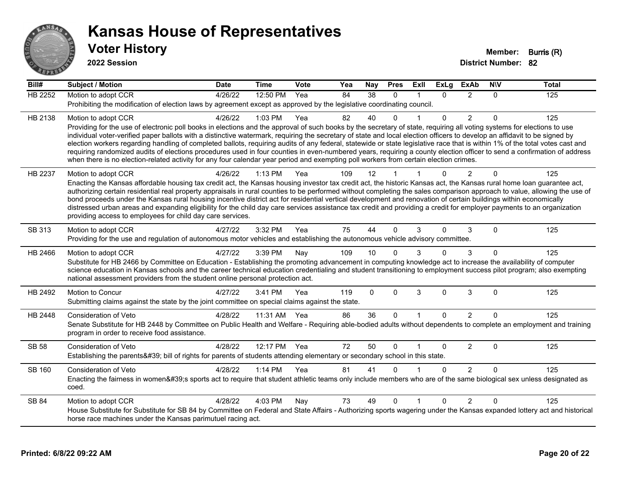

| Bill#          | <b>Subject / Motion</b>                                                                                                                                                                                                                                                                                                                                    | <b>Date</b> | <b>Time</b>  | Vote | Yea | Nay      | <b>Pres</b>  | ExII         | ExLa     | <b>ExAb</b>    | <b>NIV</b>  | Total |
|----------------|------------------------------------------------------------------------------------------------------------------------------------------------------------------------------------------------------------------------------------------------------------------------------------------------------------------------------------------------------------|-------------|--------------|------|-----|----------|--------------|--------------|----------|----------------|-------------|-------|
| <b>HB 2252</b> | Motion to adopt CCR                                                                                                                                                                                                                                                                                                                                        | 4/26/22     | 12:50 PM     | Yea  | 84  | 38       | $\Omega$     |              | 0        | $\overline{2}$ | 0           | 125   |
|                | Prohibiting the modification of election laws by agreement except as approved by the legislative coordinating council.                                                                                                                                                                                                                                     |             |              |      |     |          |              |              |          |                |             |       |
| HB 2138        | Motion to adopt CCR                                                                                                                                                                                                                                                                                                                                        | 4/26/22     | 1:03 PM      | Yea  | 82  | 40       | <sup>n</sup> |              | $\Omega$ | 2              | 0           | 125   |
|                | Providing for the use of electronic poll books in elections and the approval of such books by the secretary of state, requiring all voting systems for elections to use                                                                                                                                                                                    |             |              |      |     |          |              |              |          |                |             |       |
|                | individual voter-verified paper ballots with a distinctive watermark, requiring the secretary of state and local election officers to develop an affidavit to be signed by<br>election workers regarding handling of completed ballots, requiring audits of any federal, statewide or state legislative race that is within 1% of the total votes cast and |             |              |      |     |          |              |              |          |                |             |       |
|                | requiring randomized audits of elections procedures used in four counties in even-numbered years, requiring a county election officer to send a confirmation of address                                                                                                                                                                                    |             |              |      |     |          |              |              |          |                |             |       |
|                | when there is no election-related activity for any four calendar year period and exempting poll workers from certain election crimes.                                                                                                                                                                                                                      |             |              |      |     |          |              |              |          |                |             |       |
| HB 2237        | Motion to adopt CCR                                                                                                                                                                                                                                                                                                                                        | 4/26/22     | $1:13$ PM    | Yea  | 109 | 12       |              |              | 0        | 2              | $\Omega$    | 125   |
|                | Enacting the Kansas affordable housing tax credit act, the Kansas housing investor tax credit act, the historic Kansas act, the Kansas rural home loan guarantee act,                                                                                                                                                                                      |             |              |      |     |          |              |              |          |                |             |       |
|                | authorizing certain residential real property appraisals in rural counties to be performed without completing the sales comparison approach to value, allowing the use of                                                                                                                                                                                  |             |              |      |     |          |              |              |          |                |             |       |
|                | bond proceeds under the Kansas rural housing incentive district act for residential vertical development and renovation of certain buildings within economically<br>distressed urban areas and expanding eligibility for the child day care services assistance tax credit and providing a credit for employer payments to an organization                 |             |              |      |     |          |              |              |          |                |             |       |
|                | providing access to employees for child day care services.                                                                                                                                                                                                                                                                                                 |             |              |      |     |          |              |              |          |                |             |       |
| SB 313         | Motion to adopt CCR                                                                                                                                                                                                                                                                                                                                        | 4/27/22     | 3:32 PM      | Yea  | 75  | 44       | $\Omega$     | 3            | $\Omega$ | 3              | $\Omega$    | 125   |
|                | Providing for the use and regulation of autonomous motor vehicles and establishing the autonomous vehicle advisory committee.                                                                                                                                                                                                                              |             |              |      |     |          |              |              |          |                |             |       |
|                |                                                                                                                                                                                                                                                                                                                                                            |             | 3:39 PM      |      |     | 10       | $\Omega$     | 3            | 0        | 3              | $\Omega$    | 125   |
| HB 2466        | Motion to adopt CCR<br>Substitute for HB 2466 by Committee on Education - Establishing the promoting advancement in computing knowledge act to increase the availability of computer                                                                                                                                                                       | 4/27/22     |              | Nay  | 109 |          |              |              |          |                |             |       |
|                | science education in Kansas schools and the career technical education credentialing and student transitioning to employment success pilot program; also exempting                                                                                                                                                                                         |             |              |      |     |          |              |              |          |                |             |       |
|                | national assessment providers from the student online personal protection act.                                                                                                                                                                                                                                                                             |             |              |      |     |          |              |              |          |                |             |       |
| HB 2492        | Motion to Concur                                                                                                                                                                                                                                                                                                                                           | 4/27/22     | 3:41 PM      | Yea  | 119 | $\Omega$ | $\Omega$     | 3            | $\Omega$ | 3              | 0           | 125   |
|                | Submitting claims against the state by the joint committee on special claims against the state.                                                                                                                                                                                                                                                            |             |              |      |     |          |              |              |          |                |             |       |
| HB 2448        | <b>Consideration of Veto</b>                                                                                                                                                                                                                                                                                                                               | 4/28/22     | 11:31 AM Yea |      | 86  | 36       | $\Omega$     | $\mathbf{1}$ | $\Omega$ | 2              | $\Omega$    | 125   |
|                | Senate Substitute for HB 2448 by Committee on Public Health and Welfare - Requiring able-bodied adults without dependents to complete an employment and training                                                                                                                                                                                           |             |              |      |     |          |              |              |          |                |             |       |
|                | program in order to receive food assistance.                                                                                                                                                                                                                                                                                                               |             |              |      |     |          |              |              |          |                |             |       |
| <b>SB 58</b>   | <b>Consideration of Veto</b>                                                                                                                                                                                                                                                                                                                               | 4/28/22     | 12:17 PM     | Yea  | 72  | 50       | $\Omega$     |              | $\Omega$ | $\overline{2}$ | $\mathbf 0$ | 125   |
|                | Establishing the parents' bill of rights for parents of students attending elementary or secondary school in this state.                                                                                                                                                                                                                                   |             |              |      |     |          |              |              |          |                |             |       |
| SB 160         | <b>Consideration of Veto</b>                                                                                                                                                                                                                                                                                                                               | 4/28/22     | 1:14 PM      | Yea  | 81  | 41       | 0            |              | $\Omega$ | $\overline{2}$ | $\Omega$    | 125   |
|                | Enacting the fairness in women's sports act to require that student athletic teams only include members who are of the same biological sex unless designated as                                                                                                                                                                                            |             |              |      |     |          |              |              |          |                |             |       |
|                | coed.                                                                                                                                                                                                                                                                                                                                                      |             |              |      |     |          |              |              |          |                |             |       |
| SB 84          | Motion to adopt CCR                                                                                                                                                                                                                                                                                                                                        | 4/28/22     | 4:03 PM      | Nay  | 73  | 49       | $\Omega$     |              | $\Omega$ | 2              | $\Omega$    | 125   |
|                | House Substitute for Substitute for SB 84 by Committee on Federal and State Affairs - Authorizing sports wagering under the Kansas expanded lottery act and historical                                                                                                                                                                                     |             |              |      |     |          |              |              |          |                |             |       |
|                | horse race machines under the Kansas parimutuel racing act.                                                                                                                                                                                                                                                                                                |             |              |      |     |          |              |              |          |                |             |       |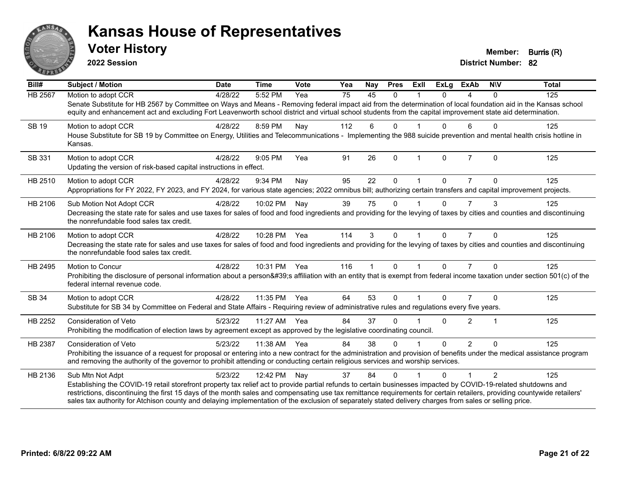

**2022 Session**

**District Number: 82 Voter History Member: Burris (R)** 

| Bill#          | <b>Subject / Motion</b>                                                                                                                                                                                                                                                                                                             | <b>Date</b> | <b>Time</b>  | Vote | Yea | Nay         | <b>Pres</b>  | Exll                 | <b>ExLg</b> | <b>ExAb</b>    | <b>NIV</b>     | <b>Total</b> |
|----------------|-------------------------------------------------------------------------------------------------------------------------------------------------------------------------------------------------------------------------------------------------------------------------------------------------------------------------------------|-------------|--------------|------|-----|-------------|--------------|----------------------|-------------|----------------|----------------|--------------|
| <b>HB 2567</b> | Motion to adopt CCR                                                                                                                                                                                                                                                                                                                 | 4/28/22     | 5:52 PM      | Yea  | 75  | 45          | $\Omega$     |                      | $\Omega$    | 4              | $\Omega$       | 125          |
|                | Senate Substitute for HB 2567 by Committee on Ways and Means - Removing federal impact aid from the determination of local foundation aid in the Kansas school<br>equity and enhancement act and excluding Fort Leavenworth school district and virtual school students from the capital improvement state aid determination.       |             |              |      |     |             |              |                      |             |                |                |              |
| SB 19          | Motion to adopt CCR                                                                                                                                                                                                                                                                                                                 | 4/28/22     | 8:59 PM      | Nay  | 112 | 6           | $\Omega$     |                      | $\Omega$    | 6              | $\Omega$       | 125          |
|                | House Substitute for SB 19 by Committee on Energy, Utilities and Telecommunications - Implementing the 988 suicide prevention and mental health crisis hotline in<br>Kansas.                                                                                                                                                        |             |              |      |     |             |              |                      |             |                |                |              |
| SB 331         | Motion to adopt CCR                                                                                                                                                                                                                                                                                                                 | 4/28/22     | 9:05 PM      | Yea  | 91  | 26          | $\Omega$     | $\mathbf{1}$         | $\Omega$    | $\overline{7}$ | $\Omega$       | 125          |
|                | Updating the version of risk-based capital instructions in effect.                                                                                                                                                                                                                                                                  |             |              |      |     |             |              |                      |             |                |                |              |
| HB 2510        | Motion to adopt CCR                                                                                                                                                                                                                                                                                                                 | 4/28/22     | 9:34 PM      | Nay  | 95  | 22          | $\Omega$     |                      | $\Omega$    | 7              | 0              | 125          |
|                | Appropriations for FY 2022, FY 2023, and FY 2024, for various state agencies; 2022 omnibus bill; authorizing certain transfers and capital improvement projects.                                                                                                                                                                    |             |              |      |     |             |              |                      |             |                |                |              |
| HB 2106        | Sub Motion Not Adopt CCR                                                                                                                                                                                                                                                                                                            | 4/28/22     | 10:02 PM     | Nay  | 39  | 75          | $\Omega$     |                      | $\Omega$    | $\overline{7}$ | 3              | 125          |
|                | Decreasing the state rate for sales and use taxes for sales of food and food ingredients and providing for the levying of taxes by cities and counties and discontinuing<br>the nonrefundable food sales tax credit.                                                                                                                |             |              |      |     |             |              |                      |             |                |                |              |
| HB 2106        | Motion to adopt CCR                                                                                                                                                                                                                                                                                                                 | 4/28/22     | 10:28 PM Yea |      | 114 | 3           | $\Omega$     | $\blacktriangleleft$ | $\Omega$    | $\overline{7}$ | $\Omega$       | 125          |
|                | Decreasing the state rate for sales and use taxes for sales of food and food ingredients and providing for the levying of taxes by cities and counties and discontinuing<br>the nonrefundable food sales tax credit.                                                                                                                |             |              |      |     |             |              |                      |             |                |                |              |
| HB 2495        | Motion to Concur                                                                                                                                                                                                                                                                                                                    | 4/28/22     | 10:31 PM Yea |      | 116 | $\mathbf 1$ | $\mathbf{0}$ | $\mathbf{1}$         | $\Omega$    | $\overline{7}$ | $\Omega$       | 125          |
|                | Prohibiting the disclosure of personal information about a person's affiliation with an entity that is exempt from federal income taxation under section 501(c) of the<br>federal internal revenue code.                                                                                                                            |             |              |      |     |             |              |                      |             |                |                |              |
| SB 34          | Motion to adopt CCR                                                                                                                                                                                                                                                                                                                 | 4/28/22     | 11:35 PM     | Yea  | 64  | 53          | $\Omega$     |                      | $\Omega$    | 7              | $\Omega$       | 125          |
|                | Substitute for SB 34 by Committee on Federal and State Affairs - Requiring review of administrative rules and regulations every five years.                                                                                                                                                                                         |             |              |      |     |             |              |                      |             |                |                |              |
| HB 2252        | <b>Consideration of Veto</b>                                                                                                                                                                                                                                                                                                        | 5/23/22     | 11:27 AM     | Yea  | 84  | 37          | $\Omega$     |                      | 0           | $\overline{2}$ | 1              | 125          |
|                | Prohibiting the modification of election laws by agreement except as approved by the legislative coordinating council.                                                                                                                                                                                                              |             |              |      |     |             |              |                      |             |                |                |              |
| HB 2387        | Consideration of Veto                                                                                                                                                                                                                                                                                                               | 5/23/22     | 11:38 AM     | Yea  | 84  | 38          | $\Omega$     |                      | $\Omega$    | $\overline{2}$ | $\Omega$       | 125          |
|                | Prohibiting the issuance of a request for proposal or entering into a new contract for the administration and provision of benefits under the medical assistance program<br>and removing the authority of the governor to prohibit attending or conducting certain religious services and worship services.                         |             |              |      |     |             |              |                      |             |                |                |              |
| HB 2136        | Sub Mtn Not Adpt                                                                                                                                                                                                                                                                                                                    | 5/23/22     | 12:42 PM     | Nay  | 37  | 84          | $\Omega$     |                      | 0           | 1              | $\overline{2}$ | 125          |
|                | Establishing the COVID-19 retail storefront property tax relief act to provide partial refunds to certain businesses impacted by COVID-19-related shutdowns and                                                                                                                                                                     |             |              |      |     |             |              |                      |             |                |                |              |
|                | restrictions, discontinuing the first 15 days of the month sales and compensating use tax remittance requirements for certain retailers, providing countywide retailers'<br>sales tax authority for Atchison county and delaying implementation of the exclusion of separately stated delivery charges from sales or selling price. |             |              |      |     |             |              |                      |             |                |                |              |